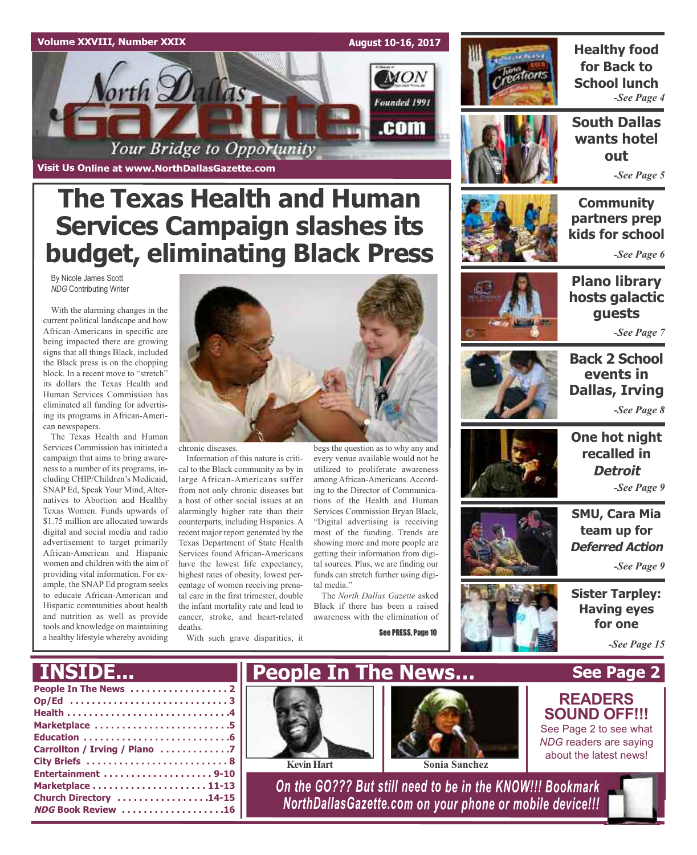### **Volume XXVIII, Number XXIX August 10-16, 2017 MON** orth Dallas Founded 1991 .com Your Bridge to Opportunity

**Visit Us Online at www.NorthDallasGazette.com**

# **The Texas Health and Human Services Campaign slashes its budget, eliminating Black Press**

By Nicole James Scott *NDG* Contributing Writer

With the alarming changes in the current political landscape and how African-Americans in specific are being impacted there are growing signs that all things Black, included the Black press is on the chopping block. In a recent move to "stretch" its dollars the Texas Health and Human Services Commission has eliminated all funding for advertising its programs in African-American newspapers.

The Texas Health and Human Services Commission has initiated a campaign that aims to bring awareness to a number of its programs, including CHIP/Children's Medicaid, SNAP Ed, Speak Your Mind, Alternatives to Abortion and Healthy Texas Women. Funds upwards of \$1.75 million are allocated towards digital and social media and radio advertisement to target primarily African-American and Hispanic women and children with the aim of providing vital information. For example, the SNAP Ed program seeks to educate African-American and Hispanic communities about health and nutrition as well as provide tools and knowledge on maintaining a healthy lifestyle whereby avoiding



chronic diseases.

Information of this nature is critical to the Black community as by in large African-Americans suffer from not only chronic diseases but a host of other social issues at an alarmingly higher rate than their counterparts, including Hispanics. A recent major report generated by the Texas Department of State Health Services found African-Americans have the lowest life expectancy, highest rates of obesity, lowest percentage of women receiving prenatal care in the first trimester, double the infant mortality rate and lead to cancer, stroke, and heart-related deaths.

With such grave disparities, it

begs the question as to why any and every venue available would not be utilized to proliferate awareness among African-Americans. According to the Director of Communications of the Health and Human Services Commission Bryan Black, "Digital advertising is receiving most of the funding. Trends are showing more and more people are getting their information from digital sources. Plus, we are finding our funds can stretch further using digital media"

The *North Dallas Gazette* asked Black if there has been a raised awareness with the elimination of

See PRESS, Page 10



**Healthy food for Back to School lunch** *-See Page 4*

**South Dallas wants hotel out**

*-See Page 5*

**Community partners prep kids for school**

*-See Page 6*



**Plano library hosts galactic guests**

*-See Page 7*



**Back 2 School events in Dallas, Irving** *-See Page 8*



**One hot night recalled in Detroit** *-See Page 9*

**SMU, Cara Mia team up for Deferred Action**



**for one**

**See Page 2**

**READERS SOUND OFF!!!** See Page 2 to see what

*-See Page 15*

### **INSIDE...**

| Marketplace 5                 |
|-------------------------------|
|                               |
| Carrollton / Irving / Plano 7 |
|                               |
| Entertainment 9-10            |
|                               |
| Church Directory 14-15        |
| <b>NDG Book Review 16</b>     |
|                               |





*On the GO??? But still need to be in the KNOW!!! Bookmark NorthDallasGazette.com on your phone or mobile device!!!*

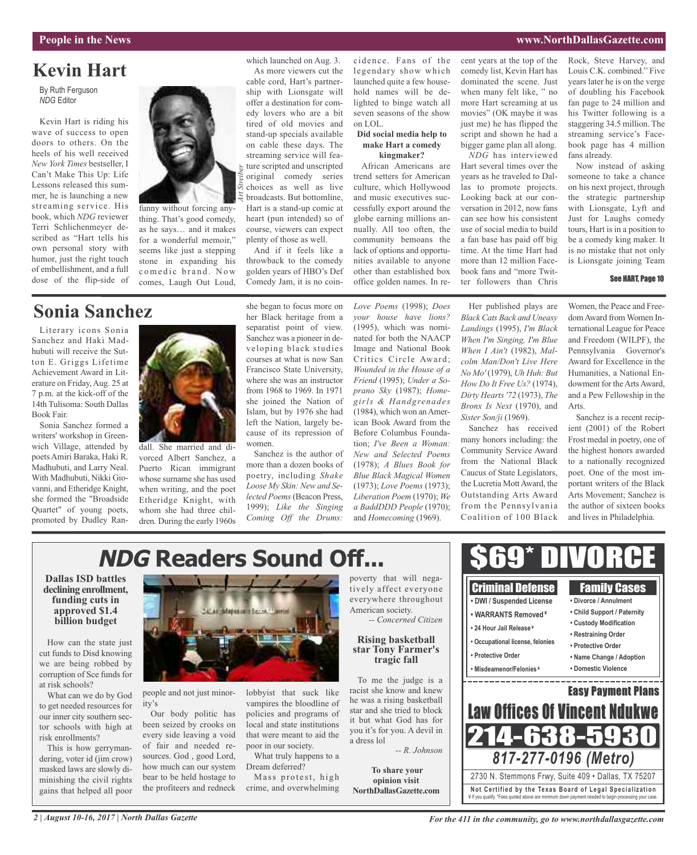#### **People in the News www.NorthDallasGazette.com**

### **Kevin Hart**

By Ruth Ferguson *NDG* Editor

Kevin Hart is riding his wave of success to open doors to others. On the heels of his well received *New York Times* bestseller, I Can't Make This Up: Life Lessons released this summer, he is launching a new streaming service. His book, which *NDG* reviewer Terri Schlichenmeyer described as "Hart tells his own personal story with humor, just the right touch of embellishment, and a full dose of the flip-side of



thing. That's good comedy, as he says… and it makes for a wonderful memoir," seems like just a stepping stone in expanding his comedic brand. Now comes, Laugh Out Loud,

### **Sonia Sanchez**

Literary icons Sonia Sanchez and Haki Madhubuti will receive the Sutton E. Griggs Lifetime Achievement Award in Literature on Friday,Aug. 25 at 7 p.m. at the kick-off of the 14th Tulisoma: South Dallas Book Fair.

Sonia Sanchez formed a writers' workshop in Greenwich Village, attended by poetsAmiri Baraka, Haki R. Madhubuti, and Larry Neal. With Madhubuti, Nikki Giovanni, and Etheridge Knight, she formed the "Broadside Quartet" of young poets, promoted by Dudley Ran-



dall. She married and divorced Albert Sanchez, a Puerto Rican immigrant whose surname she has used when writing, and the poet Etheridge Knight, with whom she had three children. During the early 1960s she began to focus more on her Black heritage from a separatist point of view. Sanchez was a pioneer in developing black studies courses at what is now San Francisco State University, where she was an instructor from 1968 to 1969. In 1971 she joined the Nation of Islam, but by 1976 she had left the Nation, largely because of its repression of women.

which launched on Aug. 3. As more viewers cut the cable cord, Hart's partnership with Lionsgate will offer a destination for comedy lovers who are a bit tired of old movies and stand-up specials available on cable these days. The streaming service will feature scripted and unscripted original comedy series choices as well as live broadcasts. But bottomline, Hart is a stand-up comic at heart (pun intended) so of course, viewers can expect plenty of those as well. And if it feels like a throwback to the comedy golden years of HBO's Def Comedy Jam, it is no coin-

Sanchez is the author of more than a dozen books of poetry, including *Shake Loose My Skin: New and Selected Poems*(Beacon Press, 1999); *Like the Singing Coming Off the Drums:*

cidence. Fans of the legendary show which launched quite a few household names will be delighted to binge watch all seven seasons of the show on LOL.

#### **Did social media help to make Hart a comedy kingmaker?**

African Americans are trend setters for American culture, which Hollywood and music executives successfully export around the globe earning millions annually. All too often, the community bemoans the lack of options and opportunities available to anyone other than established box office golden names. In re-

*Love Poems* (1998); *Does your house have lions?* (1995), which was nominated for both the NAACP Image and National Book Critics Circle Award; *Wounded in the House of a Friend* (1995); *Under a Soprano Sky* (1987); *Homegirls & Handgrenades* (1984), which won anAmerican Book Award from the Before Columbus Foundation; *I've Been a Woman: New and Selected Poems* (1978); *A Blues Book for Blue Black Magical Women* (1973); *Love Poems* (1973); *Liberation Poem* (1970); *We a BaddDDD People* (1970); and *Homecoming* (1969).

cent years at the top of the comedy list, Kevin Hart has dominated the scene. Just when many felt like, " no more Hart screaming at us movies" (OK maybe it was just me) he has flipped the script and shown he had a bigger game plan all along.

*NDG* has interviewed Hart several times over the years as he traveled to Dallas to promote projects. Looking back at our conversation in 2012, now fans can see how his consistent use of social media to build a fan base has paid off big time. At the time Hart had more than 12 million Facebook fans and "more Twitter followers than Chris

Rock, Steve Harvey, and Louis C.K. combined." Five years later he is on the verge of doubling his Facebook fan page to 24 million and his Twitter following is a staggering 34.5 million. The streaming service's Facebook page has 4 million fans already.

Now instead of asking someone to take a chance on his next project, through the strategic partnership with Lionsgate, Lyft and Just for Laughs comedy tours, Hart is in a position to be a comedy king maker. It is no mistake that not only is Lionsgate joining Team

#### See HART, Page 10

Her published plays are *Black Cats Back and Uneasy Landings* (1995), *I'm Black When I'm Singing, I'm Blue When I Ain't* (1982), *Malcolm Man/Don't Live Here No Mo'* (1979), *Uh Huh: But How Do It Free Us?* (1974), *Dirty Hearts'72* (1973), *The Bronx Is Next* (1970), and *Sister Son/ji* (1969).

Sanchez has received many honors including: the Community Service Award from the National Black Caucus of State Legislators, the Lucretia Mott Award, the Outstanding Arts Award from the Pennsylvania Coalition of 100 Black

Women, the Peace and FreedomAward from Women International League for Peace and Freedom (WILPF), the Pennsylvania Governor's Award for Excellence in the Humanities, a National Endowment for the Arts Award, and a Pew Fellowship in the Arts.

Sanchez is a recent recipient (2001) of the Robert Frost medal in poetry, one of the highest honors awarded to a nationally recognized poet. One of the most important writers of the Black Arts Movement; Sanchez is the author of sixteen books and lives in Philadelphia.

#### \$69\* DIVORCE **NDG Readers Sound Off... Dallas ISD battles** poverty that will nega-Criminal Defense Family Cases tively affect everyone **declining enrollment, funding cuts in** everywhere throughout **• DWI / Suspended License • Divorce / Annulment approved \$1.4** American society. Adopted a Correl Travelat **• Child Support / Paternity • WARRANTS Removed ¥** *-- Concerned Citizen* **billion budget • Custody Modification • 24 Hour Jail Release ¥ • Restraining Order Rising basketball • Occupational license, felonies** How can the state just **• Protective Order star Tony Farmer's** cut funds to Disd knowing **• Protective Order • Name Change / Adoption tragic fall** we are being robbed by **• Misdeamenor/Felonies ¥ • Domestic Violence** corruption of Sce funds for To me the judge is a <u> and and an announced and an announce</u> racist she know and knew Easy Payment Plans people and not just minorlobbyist that suck like What can we do by God he was a rising basketball vampires the bloodline of ity's **Law Offices Of Vincent Nduk** star and she tried to block Our body politic has policies and programs of it but what God has for been seized by crooks on local and state institutions 214-638-5930 you it's for you. A devil in every side leaving a void that were meant to aid the a dress lol of fair and needed repoor in our society. This is how gerryman-*-- R. Johnson 817-277-0196 (Metro)* sources. God , good Lord, What truly happens to a how much can our system Dream deferred? **To share your** 2730 N. Stemmons Frwy, Suite 409 • Dallas, TX 75207 bear to be held hostage to Mass protest, high **opinion visit** the profiteers and redneck crime, and overwhelming **Not Ce rtified by the Te x a s Boa rd of Lega l Spe c ia l i za tion NorthDallasGazette.com** ¥ If you qualify. \*Fees quoted above are minimum down payment needed to begin processing your case.

at risk schools?

to get needed resources for our inner city southern sector schools with high at risk enrollments?

dering, voter id (jim crow) masked laws are slowly diminishing the civil rights gains that helped all poor

*2 | August 10-16, 2017 | North Dallas Gazette*

*For the 411 in the community, go to www.northdallasgazette.com*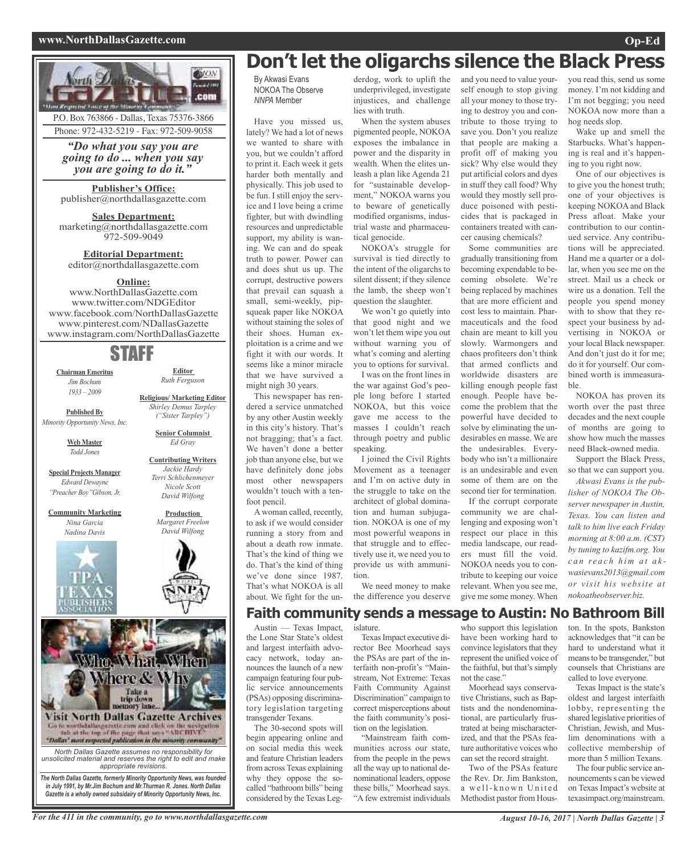#### **www.NorthDallasGazette.com Op-Ed**



P.O. Box 763866 - Dallas, Texas 75376-3866 Phone: 972-432-5219 - Fax: 972-509-9058

*"Do what you say you are going to do ... when you say you are going to do it."*

**Publisher's Office:** publisher@northdallasgazette.com

**Sales Department:** marketing@northdallasgazette.com 972-509-9049

**Editorial Department:** editor@northdallasgazette.com

### **Online:**

www.NorthDallasGazette.com www.twitter.com/NDGEditor www.facebook.com/NorthDallasGazette www.pinterest.com/NDallasGazette www.instagram.com/NorthDallasGazette

### STAFF

**Chairman Emeritus** *Jim Bochum 1933 – 2009*

**Editor** *Ruth Ferguson*

**Published By**

*Minority Opportunity News, Inc.*

**Web Master** *Todd Jones*

**Special Projects Manager** *Edward Dewayne "Preacher Boy"Gibson, Jr.*

**Community Marketing** *Nina Garcia Nadina Davis*





*unsolicited material and reserves the right to edit and make appropriate revisions. The North Dallas Gazette, formerly Minority Opportunity News, was founded*

*in July 1991, by Mr.Jim Bochum and Mr.Thurman R. Jones. North Dallas Gazette is a wholly owned subsidairy of Minority Opportunity News, Inc.*

### **Don't let the oligarchs silence the Black Press**

By Akwasi Evans NOKOA The Observe *NNPA* Member

Have you missed us, lately? We had a lot of news we wanted to share with you, but we couldn't afford to print it. Each week it gets harder both mentally and physically. This job used to be fun. I still enjoy the service and I love being a crime fighter, but with dwindling resources and unpredictable support, my ability is waning. We can and do speak truth to power. Power can and does shut us up. The corrupt, destructive powers that prevail can squash a small, semi-weekly, pipsqueak paper like NOKOA without staining the soles of their shoes. Human exploitation is a crime and we fight it with our words. It seems like a minor miracle that we have survived a might nigh 30 years.

This newspaper has rendered a service unmatched by any other Austin weekly in this city's history. That's not bragging; that's a fact. We haven't done a better job than anyone else, but we have definitely done jobs most other newspapers wouldn't touch with a tenfoot pencil.

A woman called, recently, to ask if we would consider running a story from and about a death row inmate. That's the kind of thing we do. That's the kind of thing we've done since 1987. That's what NOKOA is all about. We fight for the underdog, work to uplift the underprivileged, investigate injustices, and challenge lies with truth.

When the system abuses pigmented people, NOKOA exposes the imbalance in power and the disparity in wealth. When the elites unleash a plan like Agenda 21 for "sustainable development," NOKOA warns you to beware of genetically modified organisms, industrial waste and pharmaceutical genocide.

NOKOA's struggle for survival is tied directly to the intent of the oligarchs to silent dissent; if they silence the lamb, the sheep won't question the slaughter.

We won't go quietly into that good night and we won't let them wipe you out without warning you of what's coming and alerting you to options for survival. I was on the front lines in

the war against God's people long before I started NOKOA, but this voice gave me access to the masses I couldn't reach through poetry and public speaking.

I joined the Civil Rights Movement as a teenager and I'm on active duty in the struggle to take on the architect of global domination and human subjugation. NOKOA is one of my most powerful weapons in that struggle and to effectively use it, we need you to provide us with ammunition.

We need money to make the difference you deserve

correct misperceptions about the faith community's position on the legislation. "Mainstream faith communities across our state, from the people in the pews all the way up to national denominational leaders, oppose these bills," Moorhead says. "A few extremist individuals

and you need to value yourself enough to stop giving all your money to those trying to destroy you and contribute to those trying to save you. Don't you realize that people are making a profit off of making you sick? Why else would they put artificial colors and dyes in stuff they call food? Why would they mostly sell produce poisoned with pesticides that is packaged in containers treated with cancer causing chemicals?

Some communities are gradually transitioning from becoming expendable to becoming obsolete. We're being replaced by machines that are more efficient and cost less to maintain. Pharmaceuticals and the food chain are meant to kill you slowly. Warmongers and chaos profiteers don't think that armed conflicts and worldwide disasters are killing enough people fast enough. People have become the problem that the powerful have decided to solve by eliminating the undesirables en masse. We are the undesirables. Everybody who isn't a millionaire is an undesirable and even some of them are on the second tier for termination.

If the corrupt corporate community we are challenging and exposing won't respect our place in this media landscape, our readers must fill the void. NOKOA needs you to contribute to keeping our voice relevant. When you see me, give me some money. When you read this, send us some money. I'm not kidding and I'm not begging; you need NOKOA now more than a hog needs slop.

Wake up and smell the Starbucks. What's happening is real and it's happening to you right now.

One of our objectives is to give you the honest truth; one of your objectives is keeping NOKOA and Black Press afloat. Make your contribution to our continued service. Any contributions will be appreciated. Hand me a quarter or a dollar, when you see me on the street. Mail us a check or wire us a donation. Tell the people you spend money with to show that they respect your business by advertising in NOKOA or your local Black newspaper. And don't just do it for me; do it for yourself. Our combined worth is immeasurable.

NOKOA has proven its worth over the past three decades and the next couple of months are going to show how much the masses need Black-owned media.

Support the Black Press, so that we can support you.

*Akwasi Evans is the publisher of NOKOA The Observer newspaper in Austin, Texas. You can listen and talk to him live each Friday morning at 8:00 a.m. (CST) by tuning to kazifm.org. You c a n r e a c h h i m a t a k wasievans2013@gmail.com or visit his website at nokoatheobserver.biz.*

**Faith community sends a message to Austin: No Bathroom Bill**

Austin — Texas Impact, the Lone Star State's oldest and largest interfaith advocacy network, today announces the launch of a new campaign featuring four public service announcements (PSAs) opposing discriminatory legislation targeting transgender Texans.

The 30-second spots will begin appearing online and on social media this week and feature Christian leaders from across Texas explaining why they oppose the socalled "bathroom bills" being considered by the Texas Legislature. TexasImpact executive di-

rector Bee Moorhead says the PSAs are part of the interfaith non-profit's "Mainstream, Not Extreme: Texas Faith Community Against Discrimination" campaign to who support this legislation have been working hard to convince legislators that they represent the unified voice of the faithful, but that's simply not the case." Moorhead says conserva-

tive Christians, such as Baptists and the nondenominational, are particularly frustrated at being mischaracterized, and that the PSAs feature authoritative voices who can set the record straight.

Two of the PSAs feature the Rev. Dr. Jim Bankston, a well-known United Methodist pastor from Houston. In the spots, Bankston acknowledges that "it can be hard to understand what it meansto be transgender," but counsels that Christians are called to love everyone.

Texas Impact is the state's oldest and largest interfaith lobby, representing the shared legislative priorities of Christian, Jewish, and Muslim denominations with a collective membership of more than 5 million Texans.

The four public service announcements s can be viewed on Texas Impact's website at texasimpact.org/mainstream.





#### **Contributing Writers** *Jackie Hardy Terri Schlichenmeyer Nicole Scott*

**Religious/ Marketing Editor** *Shirley Demus Tarpley*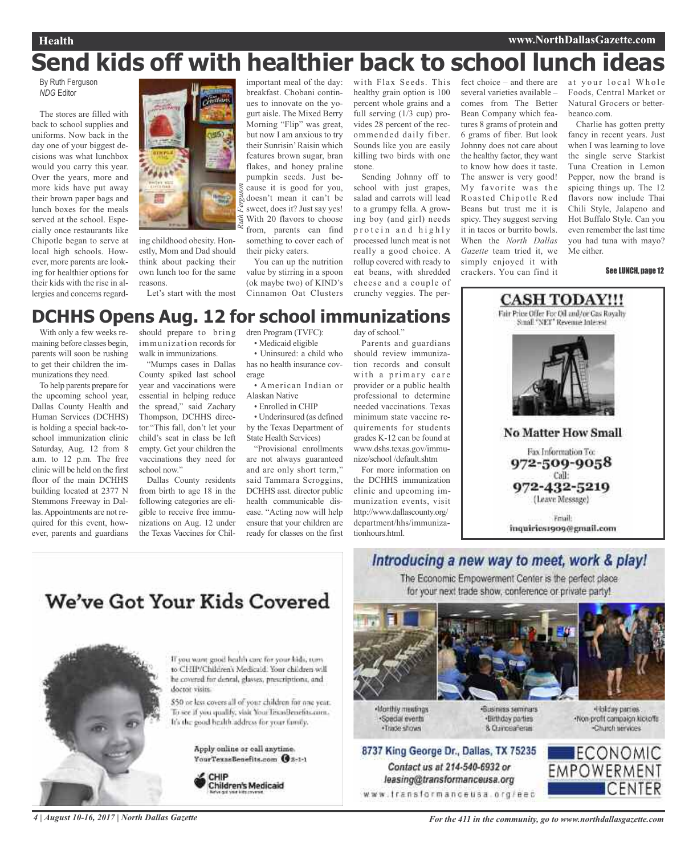# **Send kids off with healthier back to school lunch ideas**

By Ruth Ferguson *NDG* Editor

The stores are filled with back to school supplies and uniforms. Now back in the day one of your biggest decisions was what lunchbox would you carry this year. Over the years, more and more kids have put away their brown paper bags and lunch boxes for the meals served at the school. Especially once restaurants like Chipotle began to serve at local high schools. However, more parents are looking for healthier options for their kids with the rise in allergies and concerns regard-



ing childhood obesity. Honestly, Mom and Dad should think about packing their own lunch too for the same reasons.

Let's start with the most

important meal of the day: breakfast. Chobani continues to innovate on the yogurt aisle. The Mixed Berry Morning "Flip" was great, but now I am anxious to try their Sunrisin'Raisin which features brown sugar, bran flakes, and honey praline pumpkin seeds. Just because it is good for you, doesn't mean it can't be sweet, does it? Just say yes! With 20 flavors to choose from, parents can find something to cover each of

You can up the nutrition value by stirring in a spoon (ok maybe two) of KIND's Cinnamon Oat Clusters

their picky eaters.

with Flax Seeds. This healthy grain option is 100 percent whole grains and a full serving (1/3 cup) provides 28 percent of the recommended daily fiber. Sounds like you are easily killing two birds with one stone.

Sending Johnny off to school with just grapes, salad and carrots will lead to a grumpy fella. A growing boy (and girl) needs protein and highly processed lunch meat is not really a good choice. A rollup covered with ready to eat beans, with shredded cheese and a couple of crunchy veggies. The per-

fect choice – and there are several varieties available – comes from The Better Bean Company which features 8 grams of protein and 6 grams of fiber. But look Johnny does not care about the healthy factor, they want to know how does it taste. The answer is very good! My favorite was the Roasted Chipotle Red Beans but trust me it is spicy. They suggest serving it in tacos or burrito bowls. When the *North Dallas Gazette* team tried it, we simply enjoyed it with crackers. You can find it

at your local Whole Foods, Central Market or Natural Grocers or betterbeanco.com.

Charlie has gotten pretty fancy in recent years. Just when I was learning to love the single serve Starkist Tuna Creation in Lemon Pepper, now the brand is spicing things up. The 12 flavors now include Thai Chili Style, Jalapeno and Hot Buffalo Style. Can you even remember the last time you had tuna with mayo? Me either.

#### See LUNCH, page 12

### **DCHHS Opens Aug. 12 for school immunizations**

With only a few weeks remaining before classes begin, parents will soon be rushing to get their children the immunizations they need.

To help parents prepare for the upcoming school year, Dallas County Health and Human Services (DCHHS) is holding a special back-toschool immunization clinic Saturday, Aug. 12 from 8 a.m. to 12 p.m. The free clinic will be held on the first floor of the main DCHHS building located at 2377 N Stemmons Freeway in Dallas. Appointments are not required for this event, however, parents and guardians

should prepare to bring immunization records for walk in immunizations.

"Mumps cases in Dallas County spiked last school year and vaccinations were essential in helping reduce the spread," said Zachary Thompson, DCHHS director."This fall, don't let your child's seat in class be left empty. Get your children the vaccinations they need for school now."

Dallas County residents from birth to age 18 in the following categories are eligible to receive free immunizations on Aug. 12 under the Texas Vaccines for Children Program (TVFC):

• Medicaid eligible • Uninsured: a child who

has no health insurance coverage

• American Indian or Alaskan Native

• Enrolled in CHIP

• Underinsured (as defined by the Texas Department of State Health Services)

"Provisional enrollments are not always guaranteed and are only short term," said Tammara Scroggins, DCHHS asst. director public health communicable disease. "Acting now will help ensure that your children are ready for classes on the first

day of school."

Parents and guardians should review immunization records and consult with a primary care provider or a public health professional to determine needed vaccinations. Texas minimum state vaccine requirements for students grades K-12 can be found at www.dshs.texas.gov/immunize/school /default.shtm

For more information on the DCHHS immunization clinic and upcoming immunization events, visit http://www.dallascounty.org/ department/hhs/immunizationhours.html.



**CASH TODAY!!!** Fair Price Offer For Oil and/or Gas Royalty

**No Matter How Small** Fax Information To: 972-509-9058 Call: 972-432-5219 (Leave Message) Friail:

inquiries1909@gmail.com

### Introducing a new way to meet, work & play!

The Economic Empowerment Center is the perfect place for your next trade show, conference or private party!



Monthly meetings ·Special events ·Trade shows

Contact us at 214-540-6932 or

leasing@transformanceusa.org

-Business seminars ·Birthday parties 8. Curicea Tenas

Holday partes. -Non-profit compaign kickoffs Charch services



### We've Got Your Kids Covered



If you want good health care for your kids, turn to CHIP/Children's Medicaid. Your children will he covered for dental, glasses, prescriptions, and doctor visits.

\$50 or less covers all of your children for one year. To see if you qualify, visit Your TexasBenefits com-It's the good bealth address for your family.

> Apply online or call anytime. YourTexasBenefits.com @8-1-1



4 | August 10-16, 2017 | North Dallas Gazette **For the 411** in the community, go to www.northdallasgazette.com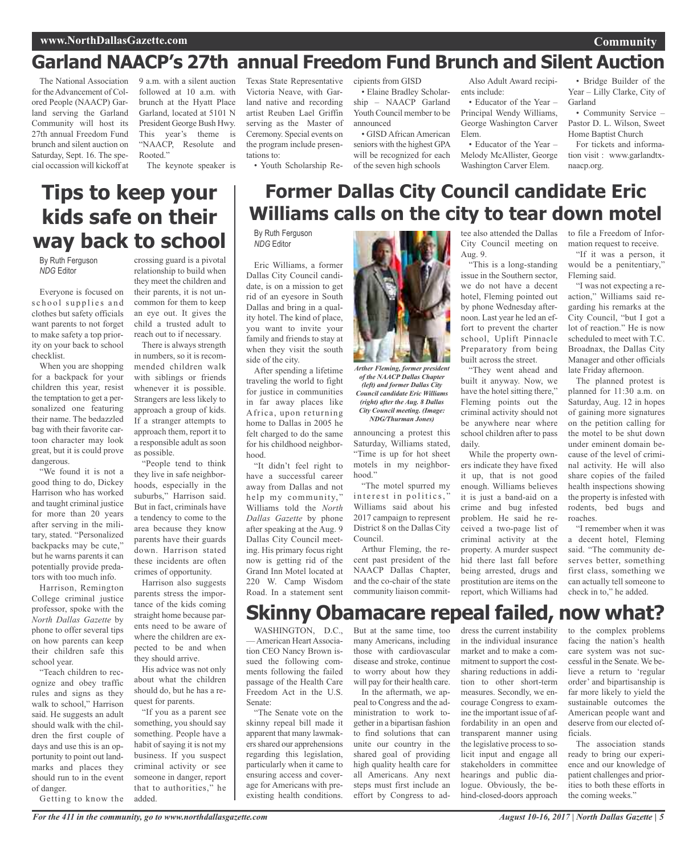### **www.NorthDallasGazette.com**

### **Garland NAACP's 27th annual Freedom Fund Brunch and Silent Auction**

The National Association for the Advancement of Colored People (NAACP) Garland serving the Garland Community will host its 27th annual Freedom Fund brunch and silent auction on Saturday, Sept. 16. The special occassion will kickoff at

9 a.m. with a silent auction followed at 10 a.m. with brunch at the Hyatt Place Garland, located at 5101 N President George Bush Hwy. This year's theme is "NAACP, Resolute and Rooted."

The keynote speaker is

### **Tips to keep your kids safe on their way back to school**

By Ruth Ferguson *NDG* Editor

Everyone is focused on school supplies and clothes but safety officials want parents to not forget to make safety a top priority on your back to school checklist.

When you are shopping for a backpack for your children this year, resist the temptation to get a personalized one featuring their name. The bedazzled bag with their favorite cartoon character may look great, but it is could prove dangerous.

"We found it is not a good thing to do, Dickey Harrison who has worked and taught criminal justice for more than 20 years after serving in the military, stated. "Personalized backpacks may be cute," but he warns parents it can potentially provide predators with too much info.

Harrison, Remington College criminal justice professor, spoke with the *North Dallas Gazette* by phone to offer several tips on how parents can keep their children safe this school year.

"Teach children to recognize and obey traffic rules and signs as they walk to school," Harrison said. He suggests an adult should walk with the children the first couple of days and use this is an opportunity to point out landmarks and places they should run to in the event of danger.

Getting to know the

crossing guard is a pivotal relationship to build when they meet the children and their parents, it is not uncommon for them to keep an eye out. It gives the child a trusted adult to reach out to if necessary.

There is always strength in numbers, so it is recommended children walk with siblings or friends whenever it is possible. Strangers are less likely to approach a group of kids. If a stranger attempts to approach them, report it to a responsible adult as soon as possible.

"People tend to think they live in safe neighborhoods, especially in the suburbs," Harrison said. But in fact, criminals have a tendency to come to the area because they know parents have their guards down. Harrison stated these incidents are often crimes of opportunity.

Harrison also suggests parents stress the importance of the kids coming straight home because parents need to be aware of where the children are expected to be and when they should arrive.

His advice was not only about what the children should do, but he has a request for parents.

"If you as a parent see something, you should say something. People have a habit of saying it is not my business. If you suspect criminal activity or see someone in danger, report that to authorities," he added.

*For the 411 in the community, go to www.northdallasgazette.com*

Texas State Representative Victoria Neave, with Garland native and recording artist Reuben Lael Griffin serving as the Master of Ceremony. Special events on the program include presentations to:

• Youth Scholarship Re-

cipients from GISD • Elaine Bradley Scholarship – NAACP Garland Youth Council member to be

announced • GISD African American seniors with the highest GPA will be recognized for each of the seven high schools

Also Adult Award recipients include:

• Educator of the Year – Principal Wendy Williams, George Washington Carver Elem.

• Educator of the Year – Melody McAllister, George Washington Carver Elem.

tee also attended the Dallas City Council meeting on

"This is a long-standing issue in the Southern sector, we do not have a decent hotel, Fleming pointed out by phone Wednesday afternoon. Last year he led an effort to prevent the charter school, Uplift Pinnacle Preparatory from being built across the street.

"They went ahead and built it anyway. Now, we have the hotel sitting there," Fleming points out the criminal activity should not be anywhere near where school children after to pass

While the property owners indicate they have fixed it up, that is not good enough. Williams believes it is just a band-aid on a crime and bug infested problem. He said he received a two-page list of criminal activity at the property. A murder suspect hid there last fall before being arrested, drugs and prostitution are items on the report, which Williams had

• Bridge Builder of the Year – Lilly Clarke, City of Garland

**Community**

• Community Service – Pastor D. L. Wilson, Sweet Home Baptist Church For tickets and informa-

tion visit : www.garlandtxnaacp.org.

### **Former Dallas City Council candidate Eric Williams calls on the city to tear down motel**

Aug. 9.

daily.

By Ruth Ferguson *NDG* Editor

Eric Williams, a former Dallas City Council candidate, is on a mission to get rid of an eyesore in South Dallas and bring in a quality hotel. The kind of place, you want to invite your family and friends to stay at when they visit the south side of the city.

After spending a lifetime traveling the world to fight for justice in communities in far away places like Africa, upon returning home to Dallas in 2005 he felt charged to do the same for his childhood neighborhood.

"It didn't feel right to have a successful career away from Dallas and not help my community," Williams told the *North Dallas Gazette* by phone after speaking at the Aug. 9 Dallas City Council meeting. His primary focus right now is getting rid of the Grand Inn Motel located at 220 W. Camp Wisdom Road. In a statement sent

Senate:



*Arther Fleming, former president of the NAACP Dallas Chapter (left) and former Dallas City Council candidate Eric Williams (right) after the Aug. 8 Dallas City Council meeting. (Image: NDG/Thurman Jones)*

announcing a protest this Saturday, Williams stated, "Time is up for hot sheet motels in my neighborhood."

"The motel spurred my interest in politics,' Williams said about his 2017 campaign to represent District 8 on the Dallas City Council.

Arthur Fleming, the recent past president of the NAACP Dallas Chapter, and the co-chair of the state community liaison commit-

### **Skinny Obamacare repeal failed, now what?**

WASHINGTON, D.C., - American Heart Association CEO Nancy Brown issued the following comments following the failed passage of the Health Care Freedom Act in the U.S. But at the same time, too many Americans, including those with cardiovascular disease and stroke, continue to worry about how they will pay for their health care. In the aftermath, we ap-

"The Senate vote on the skinny repeal bill made it apparent that many lawmakersshared our apprehensions regarding this legislation, particularly when it came to ensuring access and coverage for Americans with preexisting health conditions. peal to Congress and the administration to work together in a bipartisan fashion to find solutions that can unite our country in the shared goal of providing high quality health care for all Americans. Any next steps must first include an effort by Congress to ad-

dress the current instability

in the individual insurance market and to make a commitment to support the costsharing reductions in addition to other short-term measures. Secondly, we encourage Congress to examine the important issue of affordability in an open and transparent manner using the legislative process to solicit input and engage all stakeholders in committee hearings and public dialogue. Obviously, the behind-closed-doors approach

to file a Freedom of Information request to receive.

"If it was a person, it would be a penitentiary," Fleming said.

"I was not expecting a reaction," Williams said regarding his remarks at the City Council, "but I got a lot of reaction." He is now scheduled to meet with T.C. Broadnax, the Dallas City Manager and other officials late Friday afternoon.

The planned protest is planned for 11:30 a.m. on Saturday, Aug. 12 in hopes of gaining more signatures on the petition calling for the motel to be shut down under eminent domain because of the level of criminal activity. He will also share copies of the failed health inspections showing the property is infested with rodents, bed bugs and roaches.

"I remember when it was a decent hotel, Fleming said. "The community deserves better, something first class, something we can actually tell someone to check in to," he added.

to the complex problems facing the nation's health care system was not successful in the Senate. We believe a return to 'regular order' and bipartisanship is far more likely to yield the sustainable outcomes the American people want and deserve from our elected officials.

The association stands ready to bring our experience and our knowledge of patient challenges and priorities to both these efforts in the coming weeks."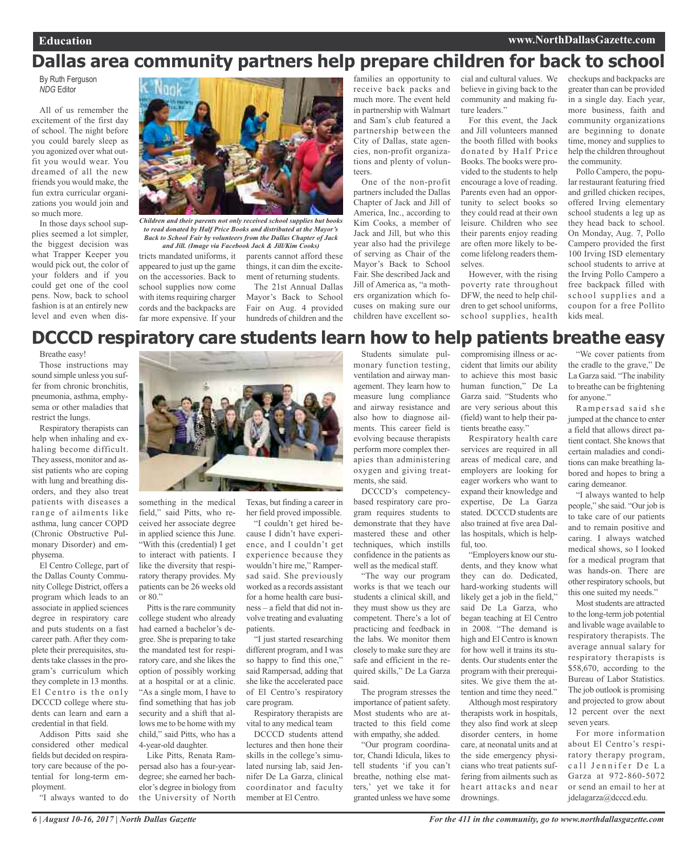### **Dallas area community partners help prepare children for back to school**

By Ruth Ferguson *NDG* Editor

All of us remember the excitement of the first day of school. The night before you could barely sleep as you agonized over what outfit you would wear. You dreamed of all the new friends you would make, the fun extra curricular organizations you would join and so much more.

In those days school supplies seemed a lot simpler, the biggest decision was what Trapper Keeper you would pick out, the color of your folders and if you could get one of the cool pens. Now, back to school fashion is at an entirely new level and even when dis-



*Children and their parents not only received school supplies but books to read donated by Half Price Books and distributed at the Mayor's Back to School Fair by volunteers from the Dallas Chapter of Jack*

tricts mandated uniforms, it appeared to just up the game on the accessories. Back to school supplies now come with items requiring charger cords and the backpacks are far more expensive. If your

parents cannot afford these things, it can dim the excitement of returning students. *and Jill. (Image via Facebook Jack & Jill/Kim Cooks)*

> The 21st Annual Dallas Mayor's Back to School Fair on Aug. 4 provided hundreds of children and the

families an opportunity to receive back packs and much more. The event held in partnership with Walmart and Sam's club featured a partnership between the City of Dallas, state agencies, non-profit organizations and plenty of volunteers.

One of the non-profit partners included the Dallas Chapter of Jack and Jill of America, Inc., according to Kim Cooks, a member of Jack and Jill, but who this year also had the privilege of serving as Chair of the Mayor's Back to School Fair. She described Jack and Jill of America as, "a mothers organization which focuses on making sure our children have excellent social and cultural values. We believe in giving back to the community and making future leaders.'

For this event, the Jack and Jill volunteers manned the booth filled with books donated by Half Price Books. The books were provided to the students to help encourage a love of reading. Parents even had an opportunity to select books so they could read at their own leisure. Children who see their parents enjoy reading are often more likely to become lifelong readers themselves.

However, with the rising poverty rate throughout DFW, the need to help children to get school uniforms, school supplies, health checkups and backpacks are greater than can be provided in a single day. Each year, more business, faith and community organizations are beginning to donate time, money and supplies to help the children throughout the community.

Pollo Campero, the popular restaurant featuring fried and grilled chicken recipes, offered Irving elementary school students a leg up as they head back to school. On Monday, Aug. 7, Pollo Campero provided the first 100 Irving ISD elementary school students to arrive at the Irving Pollo Campero a free backpack filled with school supplies and a coupon for a free Pollito kids meal.

### **DCCCD respiratory care students learn how to help patients breathe easy**

Breathe easy!

Those instructions may sound simple unless you suffer from chronic bronchitis, pneumonia, asthma, emphysema or other maladies that restrict the lungs.

Respiratory therapists can help when inhaling and exhaling become difficult. They assess, monitor and assist patients who are coping with lung and breathing disorders, and they also treat patients with diseases a range of ailments like asthma, lung cancer COPD (Chronic Obstructive Pulmonary Disorder) and emphysema.

El Centro College, part of the Dallas County Community College District, offers a program which leads to an associate in applied sciences degree in respiratory care and puts students on a fast career path. After they complete their prerequisites, students take classes in the program's curriculum which they complete in 13 months. El Centro is the only DCCCD college where students can learn and earn a credential in that field.

Addison Pitts said she considered other medical fields but decided on respiratory care because of the potential for long-term employment.

"I always wanted to do



something in the medical field," said Pitts, who received her associate degree in applied science this June. "With this (credential) I get to interact with patients. I like the diversity that respiratory therapy provides. My patients can be 26 weeks old or 80."

Pitts is the rare community college student who already had earned a bachelor's degree. She is preparing to take the mandated test for respiratory care, and she likes the option of possibly working at a hospital or at a clinic. "As a single mom, I have to find something that has job security and a shift that allows me to be home with my child," said Pitts, who has a 4-year-old daughter.

Like Pitts, Renata Rampersad also has a four-yeardegree; she earned her bachelor's degree in biology from the University of North

Texas, but finding a career in her field proved impossible.

"I couldn't get hired because I didn't have experience, and I couldn't get experience because they wouldn't hire me," Rampersad said. She previously worked as a records assistant for a home health care business – a field that did not involve treating and evaluating patients.

"I just started researching different program, and I was so happy to find this one," said Rampersad, adding that she like the accelerated pace of El Centro's respiratory care program.

Respiratory therapists are vital to any medical team

DCCCD students attend lectures and then hone their skills in the college's simulated nursing lab, said Jennifer De La Garza, clinical coordinator and faculty member at El Centro.

Students simulate pulmonary function testing, ventilation and airway management. They learn how to measure lung compliance and airway resistance and also how to diagnose ailments. This career field is evolving because therapists perform more complex therapies than administering oxygen and giving treatments, she said.

DCCCD's competencybased respiratory care program requires students to demonstrate that they have mastered these and other techniques, which instills confidence in the patients as well as the medical staff.

"The way our program works is that we teach our students a clinical skill, and they must show us they are competent. There's a lot of practicing and feedback in the labs. We monitor them closely to make sure they are safe and efficient in the required skills," De La Garza said.

The program stresses the importance of patient safety. Most students who are attracted to this field come with empathy, she added.

"Our program coordinator, Chandi Idicula, likes to tell students 'if you can't breathe, nothing else matters,' yet we take it for granted unless we have some

compromising illness or accident that limits our ability to achieve this most basic human function," De La Garza said. "Students who are very serious about this (field) want to help their patients breathe easy."

Respiratory health care services are required in all areas of medical care, and employers are looking for eager workers who want to expand their knowledge and expertise, De La Garza stated. DCCCD students are also trained at five area Dallas hospitals, which is helpful, too.

"Employers know our students, and they know what they can do. Dedicated, hard-working students will likely get a job in the field," said De La Garza, who began teaching at El Centro in 2008. "The demand is high and El Centro is known for how well it trains its students. Our students enter the program with their prerequisites. We give them the attention and time they need."

Although most respiratory therapists work in hospitals, they also find work at sleep disorder centers, in home care, at neonatal units and at the side emergency physicians who treat patients suffering from ailments such as heart attacks and near drownings.

"We cover patients from the cradle to the grave," De La Garza said. "The inability to breathe can be frightening for anyone."

Rampersad said she jumped at the chance to enter a field that allows direct patient contact. She knows that certain maladies and conditions can make breathing labored and hopes to bring a caring demeanor.

"I always wanted to help people," she said. "Our job is to take care of our patients and to remain positive and caring. I always watched medical shows, so I looked for a medical program that was hands-on. There are other respiratory schools, but this one suited my needs."

Most students are attracted to the long-term job potential and livable wage available to respiratory therapists. The average annual salary for respiratory therapists is \$58,670, according to the Bureau of Labor Statistics. The job outlook is promising and projected to grow about 12 percent over the next seven years.

For more information about El Centro's respiratory therapy program, call Jennifer De La Garza at 972-860-5072 or send an email to her at jdelagarza@dcccd.edu.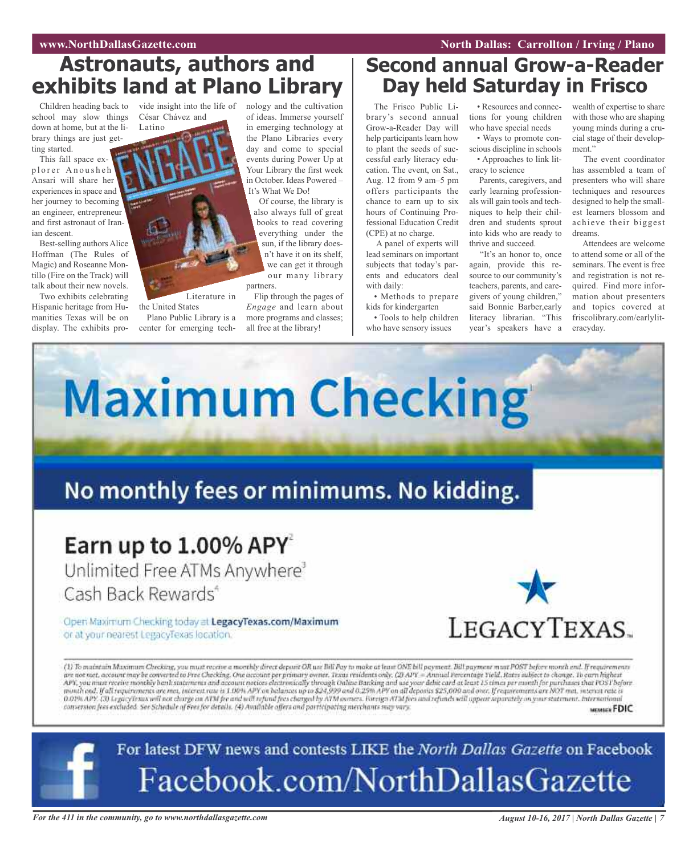### **Astronauts, authors and exhibits land at Plano Library**

school may slow things down at home, but at the library things are just getting started.

This fall space explorer Anousheh Ansari will share her experiences in space and her journey to becoming an engineer, entrepreneur and first astronaut of Iranian descent.

Best-selling authors Alice Hoffman (The Rules of Magic) and Roseanne Montillo (Fire on the Track) will talk about their new novels.

Two exhibits celebrating Hispanic heritage from Humanities Texas will be on display. The exhibits pro-

Children heading back to vide insight into the life of nology and the cultivation César Chávez and

Literature in

Plano Public Library is a center for emerging tech-

the United States

Latino

of ideas. Immerse yourself in emerging technology at the Plano Libraries every day and come to special events during Power Up at Your Library the first week in October. Ideas Powered – It's What We Do!

Of course, the library is also always full of great books to read covering everything under the sun, if the library doesn't have it on its shelf, we can get it through our many library partners.

Flip through the pages of *Engage* and learn about more programs and classes; all free at the library!

### **Second annual Grow-a-Reader Day held Saturday in Frisco**

The Frisco Public Library's second annual Grow-a-Reader Day will help participants learn how to plant the seeds of successful early literacy education. The event, on Sat., Aug. 12 from 9 am–5 pm offers participants the chance to earn up to six hours of Continuing Professional Education Credit (CPE) at no charge.

A panel of experts will lead seminars on important subjects that today's parents and educators deal with daily:

• Methods to prepare kids for kindergarten

• Tools to help children who have sensory issues

• Resources and connections for young children who have special needs

• Ways to promote conscious discipline in schools • Approaches to link lit-

eracy to science Parents, caregivers, and early learning professionals will gain tools and techniques to help their children and students sprout into kids who are ready to thrive and succeed.

"It's an honor to, once again, provide this resource to our community's teachers, parents, and caregivers of young children," said Bonnie Barber,early literacy librarian. "This year's speakers have a

wealth of expertise to share with those who are shaping young minds during a crucial stage of their development."

The event coordinator has assembled a team of presenters who will share techniques and resources designed to help the smallest learners blossom and achieve their biggest dreams.

Attendees are welcome to attend some or all of the seminars. The event is free and registration is not required. Find more information about presenters and topics covered at friscolibrary.com/earlyliteracyday.



MEMBER FDIC



For the 411 in the community, go to www.northdallasgazette.com August 10-16, 2017 | North Dallas Gazette | 7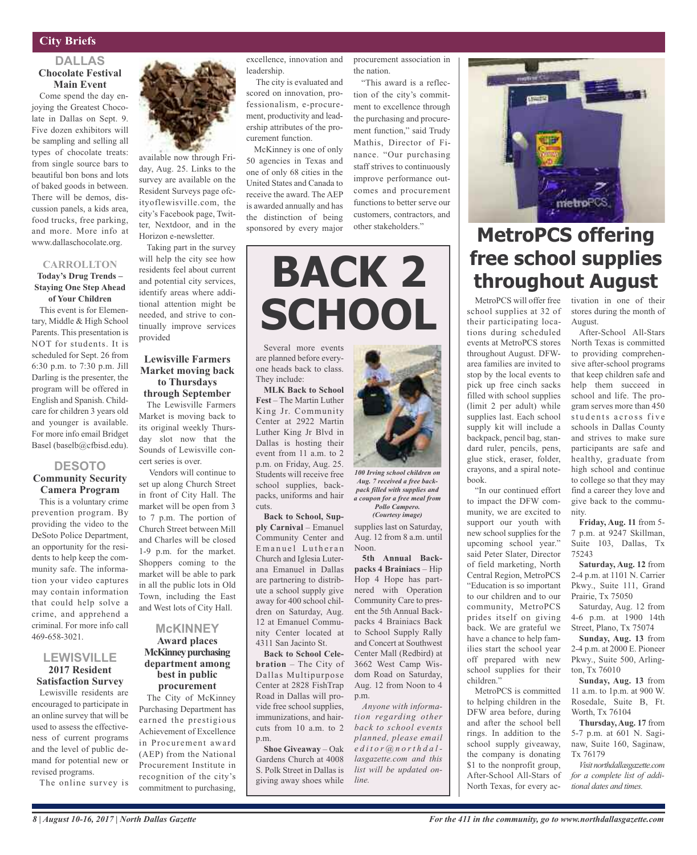### **DALLAS Chocolate Festival Main Event**

Come spend the day enjoying the Greatest Chocolate in Dallas on Sept. 9. Five dozen exhibitors will be sampling and selling all types of chocolate treats: from single source bars to beautiful bon bons and lots of baked goods in between. There will be demos, discussion panels, a kids area, food trucks, free parking, and more. More info at www.dallaschocolate.org.

#### **CARROLLTON**

#### **Today's Drug Trends – Staying One Step Ahead of Your Children**

This event is for Elementary, Middle & High School Parents. This presentation is NOT for students. It is scheduled for Sept. 26 from 6:30 p.m. to 7:30 p.m. Jill Darling is the presenter, the program will be offered in English and Spanish. Childcare for children 3 years old and younger is available. For more info email Bridget Basel (baselb@cfbisd.edu).

#### **DESOTO Community Security Camera Program**

This is a voluntary crime prevention program. By providing the video to the DeSoto Police Department, an opportunity for the residents to help keep the community safe. The information your video captures may contain information that could help solve a crime, and apprehend a criminal. For more info call 469-658-3021.

#### **LEWISVILLE 2017 Resident Satisfaction Survey**

Lewisville residents are encouraged to participate in an online survey that will be used to assess the effectiveness of current programs and the level of public demand for potential new or revised programs.

The online survey is



available now through Friday, Aug. 25. Links to the survey are available on the Resident Surveys page ofcityoflewisville.com, the city's Facebook page, Twitter, Nextdoor, and in the Horizon e-newsletter.

Taking part in the survey will help the city see how residents feel about current and potential city services, identify areas where additional attention might be needed, and strive to continually improve services provided

#### **Lewisville Farmers Market moving back to Thursdays through September**

The Lewisville Farmers Market is moving back to its original weekly Thursday slot now that the Sounds of Lewisville concert series is over.

Vendors will continue to set up along Church Street in front of City Hall. The market will be open from 3 to 7 p.m. The portion of Church Street between Mill and Charles will be closed 1-9 p.m. for the market. Shoppers coming to the market will be able to park in all the public lots in Old Town, including the East and West lots of City Hall.

#### **McKINNEY Award places McKinney purchasing department among best in public procurement**

The City of McKinney Purchasing Department has earned the prestigious Achievement of Excellence in Procurement award (AEP) from the National Procurement Institute in recognition of the city's commitment to purchasing,

excellence, innovation and leadership.

The city is evaluated and scored on innovation, professionalism, e-procurement, productivity and leadership attributes of the procurement function.

McKinney is one of only 50 agencies in Texas and one of only 68 cities in the United States and Canada to receive the award. The AEP is awarded annually and has the distinction of being sponsored by every major procurement association in the nation.

"This award is a reflection of the city's commitment to excellence through the purchasing and procurement function," said Trudy Mathis, Director of Finance. "Our purchasing staff strives to continuously improve performance outcomes and procurement functions to better serve our customers, contractors, and other stakeholders."

# **BACK 2 SCHOOL**

Several more events are planned before everyone heads back to class. They include:

**MLK Back to School Fest** – The Martin Luther King Jr. Community Center at 2922 Martin Luther King Jr Blvd in Dallas is hosting their event from 11 a.m. to 2 p.m. on Friday, Aug. 25. Students will receive free school supplies, backpacks, uniforms and hair cuts.

**Back to School, Supply Carnival** – Emanuel Community Center and Emanuel Lutheran Church and Iglesia Luterana Emanuel in Dallas are partnering to distribute a school supply give away for 400 school children on Saturday, Aug. 12 at Emanuel Community Center located at 4311 San Jacinto St.

**Back to School Celebration** – The City of Dallas Multipurpose Center at 2828 FishTrap Road in Dallas will provide free school supplies, immunizations, and haircuts from 10 a.m. to 2 p.m.

**Shoe Giveaway** – Oak Gardens Church at 4008 S. Polk Street in Dallas is giving away shoes while



*100 Irving school children on Aug. 7 received a free backpack filled with supplies and a coupon for a free meal from Pollo Campero.*

supplies last on Saturday, Aug. 12 from 8 a.m. until Noon. *(Courtesy image)*

**5th Annual Backpacks 4 Brainiacs** – Hip Hop 4 Hope has partnered with Operation Community Care to present the 5th Annual Backpacks 4 Brainiacs Back to School Supply Rally and Concert at Southwest Center Mall (Redbird) at 3662 West Camp Wisdom Road on Saturday, Aug. 12 from Noon to 4 p.m.

*Anyone with information regarding other back to school events planned, please email e d i t o r @ n o r t h d a l lasgazette.com and this list will be updated online.*



### **MetroPCS offering free school supplies throughout August**

school supplies at 32 of their participating locations during scheduled events at MetroPCS stores throughout August. DFWarea families are invited to stop by the local events to pick up free cinch sacks filled with school supplies (limit 2 per adult) while supplies last. Each school supply kit will include a backpack, pencil bag, standard ruler, pencils, pens, glue stick, eraser, folder, crayons, and a spiral notebook.

"In our continued effort to impact the DFW community, we are excited to support our youth with new school supplies for the upcoming school year." said Peter Slater, Director of field marketing, North Central Region, MetroPCS "Education is so important to our children and to our community, MetroPCS prides itself on giving back. We are grateful we have a chance to help families start the school year off prepared with new school supplies for their children."

MetroPCS is committed to helping children in the DFW area before, during and after the school bell rings. In addition to the school supply giveaway, the company is donating \$1 to the nonprofit group, After-School All-Stars of North Texas, for every ac-

MetroPCS will offer free tivation in one of their stores during the month of August.

After-School All-Stars North Texas is committed to providing comprehensive after-school programs that keep children safe and help them succeed in school and life. The program serves more than 450 students across five schools in Dallas County and strives to make sure participants are safe and healthy, graduate from high school and continue to college so that they may find a career they love and give back to the community.

**Friday, Aug. 11** from 5- 7 p.m. at 9247 Skillman, Suite 103, Dallas, Tx 75243

**Saturday, Aug. 12** from 2-4 p.m. at 1101 N. Carrier Pkwy., Suite 111, Grand Prairie, Tx 75050

Saturday, Aug. 12 from 4-6 p.m. at 1900 14th Street, Plano, Tx 75074

**Sunday, Aug. 13** from 2-4 p.m. at 2000 E. Pioneer Pkwy., Suite 500, Arlington, Tx 76010

**Sunday, Aug. 13** from 11 a.m. to 1p.m. at 900 W. Rosedale, Suite B, Ft. Worth, Tx 76104

**Thursday, Aug. 17** from 5-7 p.m. at 601 N. Saginaw, Suite 160, Saginaw, Tx 76179

*Visit northdallasgazette.com for a complete list of additional dates and times.*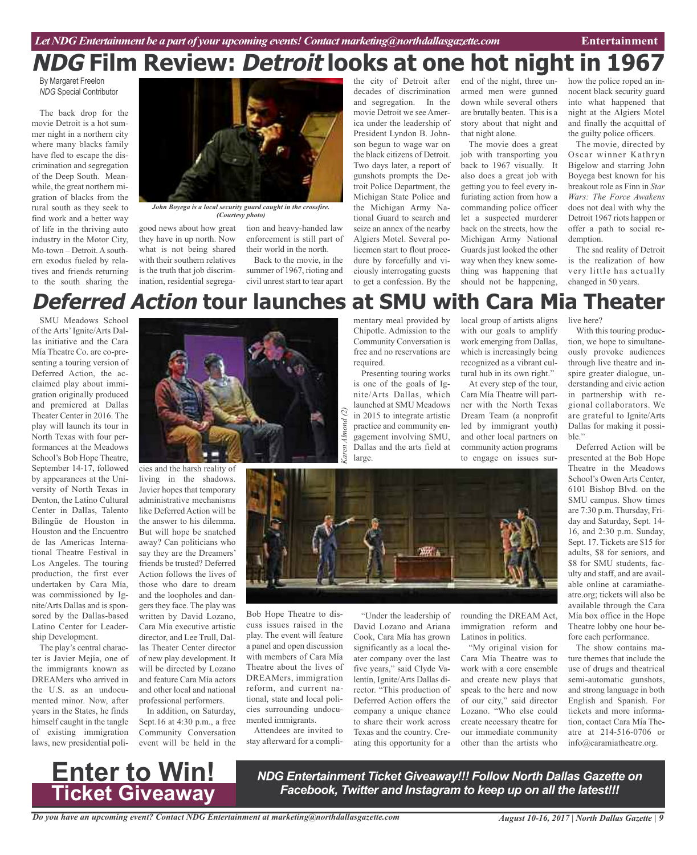# **NDG Film Review: Detroit looks at one hot night in 1967**

By Margaret Freelon *NDG* Special Contributor

The back drop for the movie Detroit is a hot summer night in a northern city where many blacks family have fled to escape the discrimination and segregation of the Deep South. Meanwhile, the great northern migration of blacks from the rural south as they seek to find work and a better way of life in the thriving auto industry in the Motor City, Mo-town – Detroit. A southern exodus fueled by relatives and friends returning to the south sharing the



*John Boyega is a local security guard caught in the crossfire. (Courtesy photo)*

good news about how great they have in up north. Now what is not being shared with their southern relatives is the truth that job discrim-

tion and heavy-handed law enforcement is still part of their world in the north.

ination, residential segrega-civil unrest start to tear apart Back to the movie, in the summer of 1967, rioting and

the city of Detroit after decades of discrimination and segregation. In the movie Detroit we seeAmerica under the leadership of President Lyndon B. Johnson begun to wage war on the black citizens of Detroit. Two days later, a report of gunshots prompts the Detroit Police Department, the Michigan State Police and the Michigan Army National Guard to search and seize an annex of the nearby Algiers Motel. Several policemen start to flout procedure by forcefully and viciously interrogating guests to get a confession. By the

end of the night, three unarmed men were gunned down while several others are brutally beaten. This is a story about that night and that night alone.

The movie does a great job with transporting you back to 1967 visually. It also does a great job with getting you to feel every infuriating action from how a commanding police officer let a suspected murderer back on the streets, how the Michigan Army National Guards just looked the other way when they knew something was happening that should not be happening,

how the police roped an innocent black security guard into what happened that night at the Algiers Motel and finally the acquittal of the guilty police officers.

The movie, directed by Oscar winner Kathryn Bigelow and starring John Boyega best known for his breakout role as Finn in *Star Wars: The Force Awakens* does not deal with why the Detroit 1967 riots happen or offer a path to social redemption.

The sad reality of Detroit is the realization of how very little has actually changed in 50 years.

### **Deferred Action tour launches at SMU with Cara Mia Theater**

SMU Meadows School of the Arts'Ignite/Arts Dallas initiative and the Cara Mía Theatre Co. are co-presenting a touring version of Deferred Action, the acclaimed play about immigration originally produced and premiered at Dallas Theater Center in 2016. The play will launch its tour in North Texas with four performances at the Meadows School's Bob Hope Theatre, September 14-17, followed by appearances at the University of North Texas in Denton, the Latino Cultural Center in Dallas, Talento Bilingüe de Houston in Houston and the Encuentro de las Americas International Theatre Festival in Los Angeles. The touring production, the first ever undertaken by Cara Mía, was commissioned by Ignite/Arts Dallas and is sponsored by the Dallas-based Latino Center for Leadership Development.

The play's central character is Javier Mejía, one of the immigrants known as DREAMers who arrived in the U.S. as an undocumented minor. Now, after years in the States, he finds himself caught in the tangle of existing immigration laws, new presidential poli-



living in the shadows. Javier hopes that temporary administrative mechanisms like Deferred Action will be the answer to his dilemma. But will hope be snatched away? Can politicians who say they are the Dreamers' friends be trusted? Deferred Action follows the lives of those who dare to dream and the loopholes and dangers they face. The play was written by David Lozano, Cara Mía executive artistic director, and Lee Trull, Dallas Theater Center director of new play development. It will be directed by Lozano and feature Cara Mía actors and other local and national professional performers.

In addition, on Saturday, Sept.16 at 4:30 p.m., a free Community Conversation event will be held in the mentary meal provided by Chipotle. Admission to the Community Conversation is free and no reservations are required. Presenting touring works

is one of the goals of Ignite/Arts Dallas, which launched at SMU Meadows  $\widehat{c}$ *Karen Almond (2)* in 2015 to integrate artistic practice and community engagement involving SMU, Dallas and the arts field at large.

local group of artists aligns with our goals to amplify work emerging from Dallas, which is increasingly being recognized as a vibrant cultural hub in its own right."

At every step of the tour, Cara Mía Theatre will partner with the North Texas Dream Team (a nonprofit led by immigrant youth) and other local partners on community action programs to engage on issues sur-



Bob Hope Theatre to discuss issues raised in the play. The event will feature a panel and open discussion with members of Cara Mía Theatre about the lives of DREAMers, immigration reform, and current national, state and local policies surrounding undocumented immigrants.

Attendees are invited to stay afterward for a compli-

"Under the leadership of David Lozano and Ariana Cook, Cara Mía has grown significantly as a local theater company over the last five years," said Clyde Valentín, Ignite/Arts Dallas director. "This production of Deferred Action offers the company a unique chance to share their work across Texas and the country. Creating this opportunity for a rounding the DREAM Act, immigration reform and Latinos in politics.

"My original vision for Cara Mía Theatre was to work with a core ensemble and create new plays that speak to the here and now of our city," said director Lozano. "Who else could create necessary theatre for our immediate community other than the artists who

live here?

With this touring production, we hope to simultaneously provoke audiences through live theatre and inspire greater dialogue, understanding and civic action in partnership with regional collaborators. We are grateful to Ignite/Arts Dallas for making it possible."

Deferred Action will be presented at the Bob Hope Theatre in the Meadows School's Owen Arts Center, 6101 Bishop Blvd. on the SMU campus. Show times are 7:30 p.m. Thursday, Friday and Saturday, Sept. 14- 16, and 2:30 p.m. Sunday, Sept. 17. Tickets are \$15 for adults, \$8 for seniors, and \$8 for SMU students, faculty and staff, and are available online at caramiatheatre.org; tickets will also be available through the Cara Mía box office in the Hope Theatre lobby one hour before each performance.

The show contains mature themes that include the use of drugs and theatrical semi-automatic gunshots, and strong language in both English and Spanish. For tickets and more information, contact Cara Mía Theatre at 214-516-0706 or info@caramiatheatre.org.



*NDG Entertainment Ticket Giveaway!!! Follow North Dallas Gazette on Facebook, Twitter and Instagram to keep up on all the latest!!!*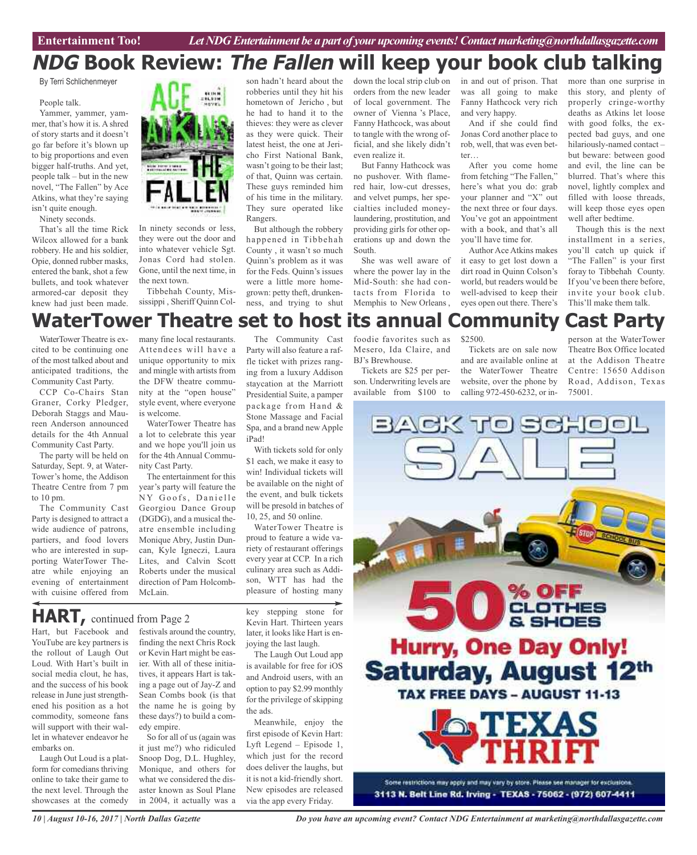### **NDG Book Review: The Fallen will keep your book club talking**

By Terri Schlichenmeyer

#### People talk.

Yammer, yammer, yammer, that's how it is. A shred of story starts and it doesn't go far before it's blown up to big proportions and even bigger half-truths. And yet, people talk – but in the new novel, "The Fallen" by Ace Atkins, what they're saying isn't quite enough.

Ninety seconds.

That's all the time Rick Wilcox allowed for a bank robbery. He and his soldier, Opie, donned rubber masks, entered the bank, shot a few bullets, and took whatever armored-car deposit they knew had just been made.



In ninety seconds or less, they were out the door and into whatever vehicle Sgt. Jonas Cord had stolen. Gone, until the next time, in the next town.

Tibbehah County, Mississippi , Sheriff Quinn Col-

son hadn't heard about the robberies until they hit his hometown of Jericho , but he had to hand it to the thieves: they were as clever as they were quick. Their latest heist, the one at Jericho First National Bank, wasn't going to be their last; of that, Quinn was certain. These guys reminded him of his time in the military. They sure operated like Rangers.

But although the robbery happened in Tibbehah County , it wasn't so much Quinn's problem as it was for the Feds. Quinn's issues were a little more homegrown: petty theft, drunkenness, and trying to shut

down the local strip club on orders from the new leader of local government. The owner of Vienna 's Place, Fanny Hathcock, was about to tangle with the wrong official, and she likely didn't even realize it.

But Fanny Hathcock was no pushover. With flamered hair, low-cut dresses, and velvet pumps, her specialties included moneylaundering, prostitution, and providing girls for other operations up and down the South.

She was well aware of where the power lay in the Mid-South: she had contacts from Florida to Memphis to New Orleans , in and out of prison. That was all going to make Fanny Hathcock very rich and very happy.

And if she could find Jonas Cord another place to rob, well, that was even better…

After you come home from fetching "The Fallen," here's what you do: grab your planner and "X" out the next three or four days. You've got an appointment with a book, and that's all you'll have time for.

Author Ace Atkins makes it easy to get lost down a dirt road in Quinn Colson's world, but readers would be well-advised to keep their eyes open out there. There's

more than one surprise in this story, and plenty of properly cringe-worthy deaths as Atkins let loose with good folks, the expected bad guys, and one hilariously-named contact – but beware: between good and evil, the line can be blurred. That's where this novel, lightly complex and filled with loose threads, will keep those eyes open well after bedtime.

Though this is the next installment in a series, you'll catch up quick if "The Fallen" is your first foray to Tibbehah County. If you've been there before, invite your book club. This'll make them talk.

### **WaterTower Theatre set to host its annual Community Cast Party**

WaterTower Theatre is excited to be continuing one of the most talked about and anticipated traditions, the Community Cast Party.

CCP Co-Chairs Stan Graner, Corky Pledger, Deborah Staggs and Maureen Anderson announced details for the 4th Annual Community Cast Party.

The party will be held on Saturday, Sept. 9, at Water-Tower's home, the Addison Theatre Centre from 7 pm to 10 pm.

The Community Cast Party is designed to attract a wide audience of patrons, partiers, and food lovers who are interested in supporting WaterTower Theatre while enjoying an evening of entertainment with cuisine offered from

many fine local restaurants. Attendees will have a unique opportunity to mix and mingle with artists from the DFW theatre community at the "open house" style event, where everyone is welcome.

WaterTower Theatre has a lot to celebrate this year and we hope you'll join us for the 4th Annual Community Cast Party.

The entertainment for this year's party will feature the NY Goofs, Danielle Georgiou Dance Group (DGDG), and a musical theatre ensemble including Monique Abry, Justin Duncan, Kyle Igneczi, Laura Lites, and Calvin Scott Roberts under the musical direction of Pam Holcomb-McLain.

The Community Cast Party will also feature a raffle ticket with prizes ranging from a luxury Addison staycation at the Marriott Presidential Suite, a pamper package from Hand & Stone Massage and Facial Spa, and a brand new Apple iPad!

With tickets sold for only \$1 each, we make it easy to win! Individual tickets will be available on the night of the event, and bulk tickets will be presold in batches of 10, 25, and 50 online.

WaterTower Theatre is proud to feature a wide variety of restaurant offerings every year at CCP. In a rich culinary area such as Addison, WTT has had the pleasure of hosting many

**HART,** continued from Page <sup>2</sup>

Hart, but Facebook and YouTube are key partners is the rollout of Laugh Out Loud. With Hart's built in social media clout, he has, and the success of his book release in June just strengthened his position as a hot commodity, someone fans will support with their wallet in whatever endeavor he embarks on.

Laugh Out Loud is a platform for comedians thriving online to take their game to the next level. Through the showcases at the comedy

festivals around the country, finding the next Chris Rock or Kevin Hart might be easier. With all of these initiatives, it appears Hart is taking a page out of Jay-Z and Sean Combs book (is that the name he is going by these days?) to build a comedy empire.

So for all of us (again was it just me?) who ridiculed Snoop Dog, D.L. Hughley, Monique, and others for what we considered the disaster known as Soul Plane in 2004, it actually was a

key stepping stone for Kevin Hart. Thirteen years later, it looks like Hart is enjoying the last laugh.

The Laugh Out Loud app is available for free for iOS and Android users, with an option to pay \$2.99 monthly for the privilege of skipping the ads.

Meanwhile, enjoy the first episode of Kevin Hart: Lyft Legend – Episode 1, which just for the record does deliver the laughs, but it is not a kid-friendly short. New episodes are released via the app every Friday.

foodie favorites such as Mesero, Ida Claire, and BJ's Brewhouse. Tickets are \$25 per per-

son. Underwriting levels are available from \$100 to

### \$2500.

Tickets are on sale now and are available online at the WaterTower Theatre website, over the phone by calling 972-450-6232, or inperson at the WaterTower Theatre Box Office located at the Addison Theatre Centre: 15650 Addison Road, Addison, Texas 75001.



*10 | August 10-16, 2017 | North Dallas Gazette*

*Do you have an upcoming event? Contact NDG Entertainment at marketing@northdallasgazette.com*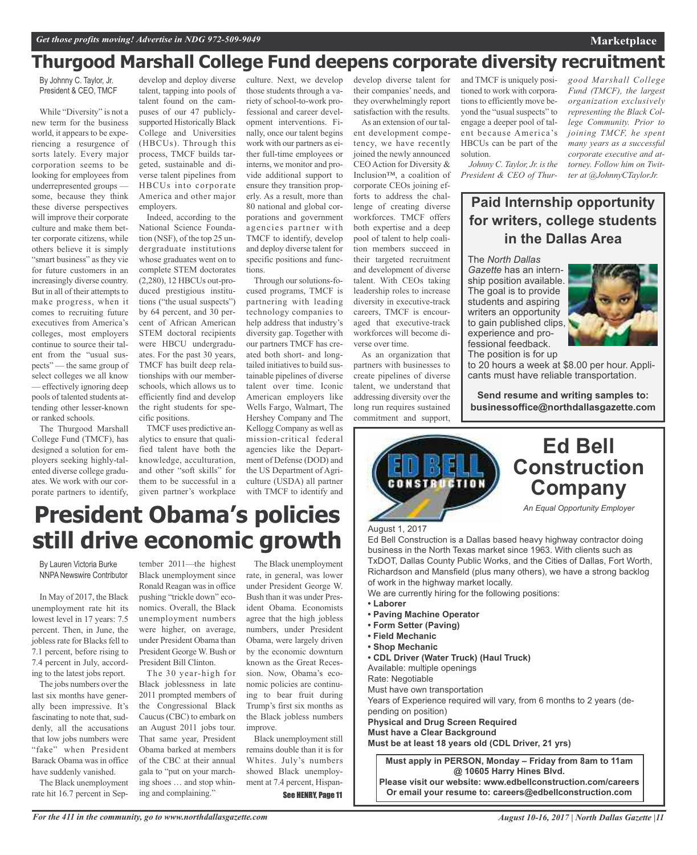### **Thurgood Marshall College Fund deepens corporate diversity recruitment**

By Johnny C. Taylor, Jr. President & CEO, TMCF

While "Diversity" is not a new term for the business world, it appears to be experiencing a resurgence of sorts lately. Every major corporation seems to be looking for employees from underrepresented groups some, because they think these diverse perspectives will improve their corporate culture and make them better corporate citizens, while others believe it is simply "smart business" as they vie for future customers in an increasingly diverse country. But in all of their attempts to make progress, when it comes to recruiting future executives from America's colleges, most employers continue to source their talent from the "usual suspects" — the same group of select colleges we all know — effectively ignoring deep pools of talented students attending other lesser-known or ranked schools.

The Thurgood Marshall College Fund (TMCF), has designed a solution for employers seeking highly-talented diverse college graduates. We work with our corporate partners to identify,

develop and deploy diverse talent, tapping into pools of talent found on the campuses of our 47 publiclysupported Historically Black College and Universities (HBCUs). Through this process, TMCF builds targeted, sustainable and diverse talent pipelines from HBCUs into corporate America and other major employers. Indeed, according to the

National Science Foundation (NSF), of the top 25 undergraduate institutions whose graduates went on to complete STEM doctorates (2,280), 12 HBCUs out-produced prestigious institutions ("the usual suspects") by 64 percent, and 30 percent of African American STEM doctoral recipients were HBCU undergraduates. For the past 30 years, TMCF has built deep relationships with our memberschools, which allows us to efficiently find and develop the right students for specific positions.

TMCF uses predictive analytics to ensure that qualified talent have both the knowledge, acculturation, and other "soft skills" for them to be successful in a given partner's workplace

culture. Next, we develop those students through a variety of school-to-work professional and career development interventions. Finally, once our talent begins work with our partners as either full-time employees or interns, we monitor and provide additional support to ensure they transition properly. As a result, more than 80 national and global corporations and government agencies partner with TMCF to identify, develop and deploy diverse talent for specific positions and functions.

Through our solutions-focused programs, TMCF is partnering with leading technology companies to help address that industry's diversity gap. Together with our partners TMCF has created both short- and longtailed initiatives to build sustainable pipelines of diverse talent over time. Iconic American employers like Wells Fargo, Walmart, The Hershey Company and The Kellogg Company as well as mission-critical federal agencies like the Department of Defense (DOD) and the US Department of Agriculture (USDA) all partner with TMCF to identify and

develop diverse talent for their companies' needs, and they overwhelmingly report satisfaction with the results.

As an extension of our talent development competency, we have recently joined the newly announced CEO Action for Diversity & Inclusion™, a coalition of corporate CEOs joining efforts to address the challenge of creating diverse workforces. TMCF offers both expertise and a deep pool of talent to help coalition members succeed in their targeted recruitment and development of diverse talent. With CEOs taking leadership roles to increase diversity in executive-track careers, TMCF is encouraged that executive-track workforces will become diverse over time.

As an organization that partners with businesses to create pipelines of diverse talent, we understand that addressing diversity over the long run requires sustained commitment and support,

and TMCF is uniquely positioned to work with corporations to efficiently move beyond the "usual suspects" to engage a deeper pool of talent because America's HBCUs can be part of the solution.

*Johnny C. Taylor, Jr. isthe President & CEO of Thur-* *good Marshall College Fund (TMCF), the largest organization exclusively representing the Black College Community. Prior to joining TMCF, he spent many years as a successful corporate executive and attorney. Follow him on Twitter at @JohnnyCTaylorJr.*

**Marketplace**

### **Paid Internship opportunity for writers, college students in the Dallas Area**

The *North Dallas Gazette* has an internship position available. The goal is to provide students and aspiring writers an opportunity to gain published clips, experience and professional feedback.



The position is for up

to 20 hours a week at \$8.00 per hour. Applicants must have reliable transportation.

**Send resume and writing samples to: businessoffice@northdallasgazette.com**



#### August 1, 2017

Ed Bell Construction is a Dallas based heavy highway contractor doing business in the North Texas market since 1963. With clients such as TxDOT, Dallas County Public Works, and the Cities of Dallas, Fort Worth, Richardson and Mansfield (plus many others), we have a strong backlog of work in the highway market locally.

- We are currently hiring for the following positions:
- **• Laborer**
- **• Paving Machine Operator**
- **• Form Setter (Paving)**
- **• Field Mechanic**
- **• Shop Mechanic**
- **• CDL Driver (Water Truck) (Haul Truck)**

Available: multiple openings

Rate: Negotiable

Must have own transportation

Years of Experience required will vary, from 6 months to 2 years (de-

pending on position)

**Physical and Drug Screen Required Must have a Clear Background**

**Must be at least 18 years old (CDL Driver, 21 yrs)**

**Must apply in PERSON, Monday – Friday from 8am to 11am @ 10605 Harry Hines Blvd. Please visit our website: www.edbellconstruction.com/careers Or email your resume to: careers@edbellconstruction.com**

### **President Obama's policies still drive economic growth**

By Lauren Victoria Burke NNPA Newswire Contributor

In May of 2017, the Black unemployment rate hit its lowest level in 17 years: 7.5 percent. Then, in June, the jobless rate for Blacks fell to 7.1 percent, before rising to 7.4 percent in July, according to the latest jobs report.

The jobs numbers over the last six months have generally been impressive. It's fascinating to note that, suddenly, all the accusations that low jobs numbers were "fake" when President Barack Obama was in office have suddenly vanished.

The Black unemployment rate hit 16.7 percent in Sep-

tember 2011—the highest Black unemployment since Ronald Reagan was in office pushing "trickle down" economics. Overall, the Black unemployment numbers were higher, on average, under President Obama than President George W. Bush or President Bill Clinton.

The 30 year-high for Black joblessness in late 2011 prompted members of the Congressional Black Caucus(CBC) to embark on an August 2011 jobs tour. That same year, President Obama barked at members of the CBC at their annual gala to "put on your marching shoes … and stop whining and complaining."

rate, in general, was lower under President George W. Bush than it was under President Obama. Economists agree that the high jobless numbers, under President Obama, were largely driven by the economic downturn known as the Great Recession. Now, Obama's economic policies are continuing to bear fruit during Trump's first six months as the Black jobless numbers improve.

The Black unemployment

Black unemployment still remains double than it is for Whites. July's numbers showed Black unemployment at 7.4 percent, Hispan-See HENRY, Page 11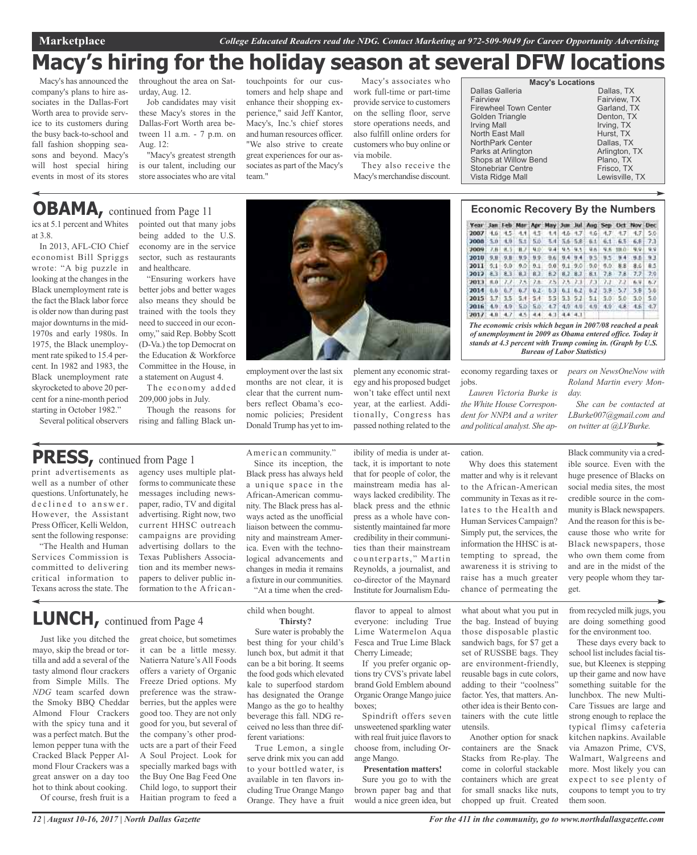**Marketplace** *College Educated Readers read the NDG. Contact Marketing at 972-509-9049 for Career Opportunity Advertising*

### **Macy's hiring for the holiday season at several DFW locations**

Macy's has announced the company's plans to hire associates in the Dallas-Fort Worth area to provide service to its customers during the busy back-to-school and fall fashion shopping seasons and beyond. Macy's will host special hiring events in most of its stores throughout the area on Saturday, Aug. 12.

Job candidates may visit these Macy's stores in the Dallas-Fort Worth area between 11 a.m. - 7 p.m. on Aug. 12:

"Macy's greatest strength is our talent, including our store associates who are vital

being added to the U.S. economy are in the service sector, such as restaurants

"Ensuring workers have better jobs and better wages also means they should be trained with the tools they need to succeed in our economy," said Rep. Bobby Scott (D-Va.) the top Democrat on the Education & Workforce Committee in the House, in a statement on August 4. The economy added

and healthcare.

209,000 jobs in July.

Though the reasons for rising and falling Black untouchpoints for our customers and help shape and enhance their shopping experience," said Jeff Kantor, Macy's, Inc.'s chief stores and human resources officer. "We also strive to create great experiences for our associates as part of the Macy's team<sup>"</sup>

Macy's associates who work full-time or part-time provide service to customers on the selling floor, serve store operations needs, and also fulfill online orders for customers who buy online or via mobile.

They also receive the Macy's merchandise discount.

| <b>Macy's Locations</b> |                |
|-------------------------|----------------|
| Dallas Galleria         | Dallas, TX     |
| Fairview                | Fairview, TX   |
| Firewheel Town Center   | Garland, TX    |
| Golden Triangle         | Denton, TX     |
| <b>Irving Mall</b>      | Irving, TX     |
| North East Mall         | Hurst. TX      |
| NorthPark Center        | Dallas, TX     |
| Parks at Arlington      | Arlington, TX  |
| Shops at Willow Bend    | Plano, TX      |
| Stonebriar Centre       | Frisco, TX     |
| Vista Ridge Mall        | Lewisville, TX |
|                         |                |

Year Jan Feb Mar Apr May Jun Jul Aug Sep Oct Nov Dec  $\begin{array}{cccccccccccc} \textbf{2007} & \textbf{4.6} & \textbf{4.5} & \textbf{4.4} & \textbf{4.5} & \textbf{4.4} & \textbf{4.6} & \textbf{4.7} & \textbf{4.6} & \textbf{4.7} & \textbf{4.7} & \textbf{4.7} & \textbf{5.0} \\ \textbf{3008} & \textbf{5.0} & \textbf{4.0} & \textbf{5.1} & \textbf{5.0} & \textbf{5.4} & \textbf{5.6} & \textbf{5.8} & \textbf{5.8} & \textbf{6.1} & \text$ 2009, 28 8.5 8.7 9.9 9.4 9.5 9.5 9.6 9.6 100 9.9 2010 9.8 9.8 9.9 9.9 9.6 9.4 9.4 9.5 9.5 9.4 9.5 93 2011 9.1 9.0 9.0 9.1 9.0 9.1 9.0 9.0 9.0 8.8 8.6 2012 8.3 8.3 8.1 8.2 8.2 8.3 8.1 7.8 7.8 7.7 7.9 2014 0.0  $0.3^{\circ}$  $0.7$  0.2 0.3 0.1 0.2 0.2 5.9 5.7 5.8 2015 1.7 3.5 3.4 5.4 5.5 3.3 5.2 5.1 5.0 5.0 5.0 5.0 5.0 6.9 4.9 4.9 4.9 4.9 4.9 4.9 4.9 4.8 4.5 4.7 2012: 4.0, 4.7, 4.5, 4.4, 4.1, 4.4, 4.1, *The economic crisis which began in 2007/08 reached a peak of unemployment in 2009 as Obama entered office. Today it stands at 4.3 percent with Trump coming in. (Graph by U.S.*

*Bureau of Labor Statistics)*

economy regarding taxes or jobs.

*Lauren Victoria Burke is the White House Correspondent for NNPA and a writer and political analyst. She ap-*

Why does this statement matter and why is it relevant to the African-American community in Texas as it relates to the Health and Human Services Campaign? Simply put, the services, the information the HHSC is attempting to spread, the awareness it is striving to

*pears on NewsOneNow with Roland Martin every Mon-*

*She can be contacted at LBurke007@gmail.com and on twitter at @LVBurke.*

*day.*

Black community via a credible source. Even with the huge presence of Blacks on social media sites, the most credible source in the community is Black newspapers. And the reason for this is because those who write for Black newspapers, those

who own them come from and are in the midst of the very people whom they target.

from recycled milk jugs, you are doing something good for the environment too.

These days every back to school list includes facial tissue, but Kleenex is stepping up their game and now have something suitable for the lunchbox. The new Multi-Care Tissues are large and strong enough to replace the typical flimsy cafeteria kitchen napkins. Available via Amazon Prime, CVS, Walmart, Walgreens and more. Most likely you can expect to see plenty of coupons to tempt you to try them soon.

# pointed out that many jobs

ics at 5.1 percent and Whites at 3.8.

In 2013, AFL-CIO Chief economist Bill Spriggs wrote: "A big puzzle in looking at the changes in the Black unemployment rate is the fact the Black labor force is older now than during past major downturns in the mid-1970s and early 1980s. In 1975, the Black unemployment rate spiked to 15.4 percent. In 1982 and 1983, the Black unemployment rate skyrocketed to above 20 percent for a nine-month period starting in October 1982."

Several political observers

### **PRESS,** continued from Page <sup>1</sup>

print advertisements as well as a number of other questions. Unfortunately, he declined to answer. However, the Assistant Press Officer, Kelli Weldon, sent the following response:

"The Health and Human Services Commission is committed to delivering critical information to Texans across the state. The agency uses multiple platforms to communicate these messages including newspaper, radio, TV and digital advertising. Right now, two current HHSC outreach campaigns are providing advertising dollars to the Texas Publishers Association and its member newspapers to deliver public information to the African-

### **LUNCH,** continued from Page <sup>4</sup>

Just like you ditched the mayo, skip the bread or tortilla and add a several of the tasty almond flour crackers from Simple Mills. The *NDG* team scarfed down the Smoky BBQ Cheddar Almond Flour Crackers with the spicy tuna and it was a perfect match. But the lemon pepper tuna with the Cracked Black Pepper Almond Flour Crackers was a great answer on a day too hot to think about cooking. Of course, fresh fruit is a

great choice, but sometimes it can be a little messy.

Natierra Nature's All Foods offers a variety of Organic Freeze Dried options. My preference was the strawberries, but the apples were good too. They are not only good for you, but several of the company's other products are a part of their Feed A Soul Project. Look for specially marked bags with the Buy One Bag Feed One Child logo, to support their Haitian program to feed a

child when bought. **Thirsty?**

Sure water is probably the best thing for your child's lunch box, but admit it that can be a bit boring. It seems the food gods which elevated kale to superfood stardom has designated the Orange Mango as the go to healthy beverage this fall. NDG received no less than three different variations:

True Lemon, a single serve drink mix you can add to your bottled water, is available in ten flavors including True Orange Mango Orange. They have a fruit

flavor to appeal to almost everyone: including True Lime Watermelon Aqua Fesca and True Lime Black Cherry Limeade;

brand Gold Emblem abound Organic Orange Mango juice boxes;

Spindrift offers seven unsweetened sparkling water with real fruit juice flavors to choose from, including Orange Mango.

**Presentation matters!** brown paper bag and that

If you prefer organic options try CVS's private label

Sure you go to with the would a nice green idea, but

what about what you put in the bag. Instead of buying those disposable plastic sandwich bags, for \$7 get a set of RUSSBE bags. They are environment-friendly, reusable bags in cute colors, adding to their "coolness" factor. Yes, that matters. Another idea istheir Bento conco-director of the Maynard Institute for Journalism Eduraise has a much greater chance of permeating the

cation.

tainers with the cute little utensils. Another option for snack containers are the Snack Stacks from Re-play. The come in colorful stackable containers which are great for small snacks like nuts,

chopped up fruit. Created



employment over the last six months are not clear, it is clear that the current numbers reflect Obama's economic policies; President Donald Trump has yet to im-

American community." Since its inception, the Black press has always held a unique space in the African-American community. The Black press has always acted as the unofficial liaison between the community and mainstream America. Even with the technological advancements and changes in media it remains a fixture in our communities. "At a time when the credplement any economic strategy and his proposed budget won't take effect until next year, at the earliest. Additionally, Congress has passed nothing related to the

black press and the ethnic press as a whole have consistently maintained far more credibility in their communities than their mainstream counterparts," Martin Reynolds, a journalist, and

ibility of media is under attack, it is important to note that for people of color, the mainstream media has always lacked credibility. The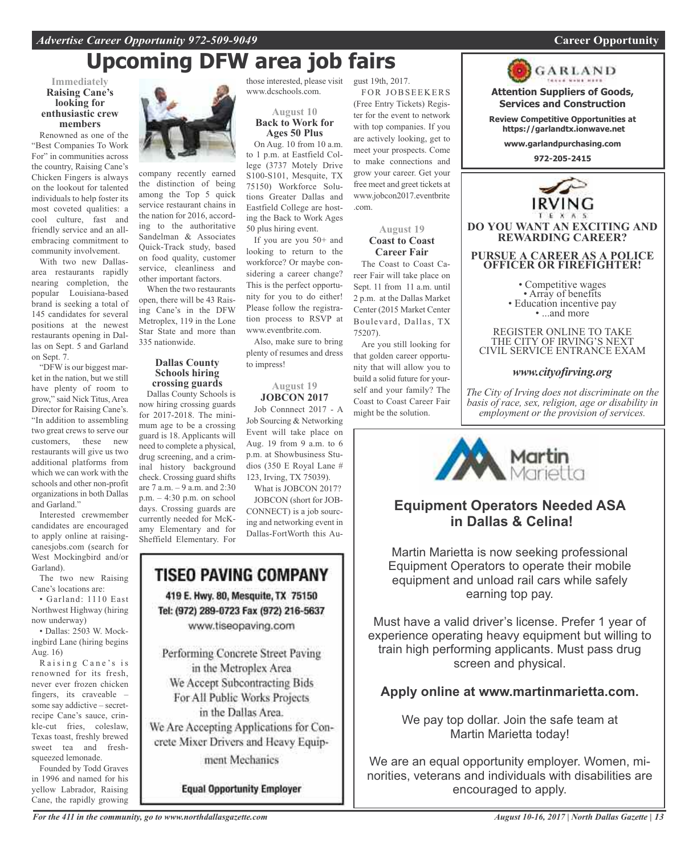## **Upcoming DFW area job fairs**

#### **Immediately Raising Cane's looking for enthusiastic crew members**

Renowned as one of the "Best Companies To Work For" in communities across the country, Raising Cane's Chicken Fingers is always on the lookout for talented individuals to help foster its most coveted qualities: a cool culture, fast and friendly service and an allembracing commitment to community involvement.

With two new Dallasarea restaurants rapidly nearing completion, the popular Louisiana-based brand is seeking a total of 145 candidates for several positions at the newest restaurants opening in Dallas on Sept. 5 and Garland on Sept. 7.

"DFW is our biggest market in the nation, but we still have plenty of room to grow," said Nick Titus, Area Director for Raising Cane's. "In addition to assembling two great crews to serve our customers, these new restaurants will give us two additional platforms from which we can work with the schools and other non-profit organizations in both Dallas and Garland."

Interested crewmember candidates are encouraged to apply online at raisingcanesjobs.com (search for West Mockingbird and/or Garland).

The two new Raising Cane's locations are:

• Garland: 1110 East Northwest Highway (hiring now underway)

• Dallas: 2503 W. Mockingbird Lane (hiring begins Aug. 16)

Raising Cane's is renowned for its fresh, never ever frozen chicken fingers, its craveable – some say addictive – secretrecipe Cane's sauce, crinkle-cut fries, coleslaw, Texas toast, freshly brewed sweet tea and freshsqueezed lemonade.

Founded by Todd Graves in 1996 and named for his yellow Labrador, Raising Cane, the rapidly growing



company recently earned the distinction of being among the Top 5 quick service restaurant chains in the nation for 2016, according to the authoritative Sandelman & Associates Quick-Track study, based on food quality, customer service, cleanliness and other important factors.

When the two restaurants open, there will be 43 Raising Cane's in the DFW Metroplex, 119 in the Lone Star State and more than 335 nationwide.

### **Dallas County Schools hiring crossing guards**

Dallas County Schools is now hiring crossing guards for 2017-2018. The minimum age to be a crossing guard is 18. Applicants will need to complete a physical, drug screening, and a criminal history background check. Crossing guard shifts are 7 a.m. – 9 a.m. and 2:30 p.m. – 4:30 p.m. on school days. Crossing guards are currently needed for McKamy Elementary and for Sheffield Elementary. For

**August 10**

www.dcschools.com.

**Back to Work for Ages 50 Plus**

On Aug. 10 from 10 a.m. to 1 p.m. at Eastfield College (3737 Motely Drive S100-S101, Mesquite, TX 75150) Workforce Solutions Greater Dallas and Eastfield College are hosting the Back to Work Ages 50 plus hiring event.

If you are you 50+ and looking to return to the workforce? Or maybe considering a career change? This is the perfect opportunity for you to do either! Please follow the registration process to RSVP at www.eventbrite.com.

Also, make sure to bring plenty of resumes and dress to impress!

#### **August 19 JOBCON 2017**

Job Connnect 2017 - A Job Sourcing & Networking Event will take place on Aug. 19 from 9 a.m. to 6 p.m. at Showbusiness Studios (350 E Royal Lane # 123, Irving, TX 75039).

What is JOBCON 2017? JOBCON (short for JOB-

CONNECT) is a job sourcing and networking event in Dallas-FortWorth this Au-

### TISEO PAVING COMPANY 419 E. Hwy. 80, Mesquite, TX 75150 Tel: (972) 289-0723 Fax (972) 216-5637

www.tiseopaving.com

Performing Concrete Street Paving in the Metroplex Area We Accept Subcontracting Bids For All Public Works Projects in the Dallas Area. We Are Accepting Applications for Concrete Mixer Drivers and Heavy Equip-

ment Mechanics

**Equal Opportunity Employer** 

those interested, please visit gust 19th, 2017.

FOR JOBSEEKERS (Free Entry Tickets) Register for the event to network with top companies. If you are actively looking, get to meet your prospects. Come to make connections and grow your career. Get your free meet and greet tickets at www.jobcon2017.eventbrite .com.

> **August 19 Coast to Coast Career Fair**

The Coast to Coast Career Fair will take place on Sept. 11 from 11 a.m. until 2 p.m. at the Dallas Market Center (2015 Market Center Boulevard, Dallas, TX 75207).

Are you still looking for that golden career opportunity that will allow you to build a solid future for yourself and your family? The Coast to Coast Career Fair might be the solution.



**Attention Suppliers of Goods, Services and Construction**

**Review Competitive Opportunities at https://garlandtx.ionwave.net**

**www.garlandpurchasing.com**

**972-205-2415**



**DO YOU WANT AN EXCITING AND REWARDING CAREER?**

#### **PURSUE A CAREER AS A POLICE OFFICER OR FIREFIGHTER!**

• Competitive wages<br>• Array of benefits<br>• Education incentive pay<br>• ...and more

REGISTER ONLINE TO TAKE THE CITY OF IRVING'S NEXT CIVIL SERVICE ENTRANCE EXAM

### *www.cityofirving.org*

*The City of Irving does not discriminate on the basis of race, sex, religion, age or disability in employment or the provision of services.*



### **Equipment Operators Needed ASA in Dallas & Celina!**

Martin Marietta is now seeking professional Equipment Operators to operate their mobile equipment and unload rail cars while safely earning top pay.

Must have a valid driver's license. Prefer 1 year of experience operating heavy equipment but willing to train high performing applicants. Must pass drug screen and physical.

### **Apply online at www.martinmarietta.com.**

We pay top dollar. Join the safe team at Martin Marietta today!

We are an equal opportunity employer. Women, minorities, veterans and individuals with disabilities are encouraged to apply.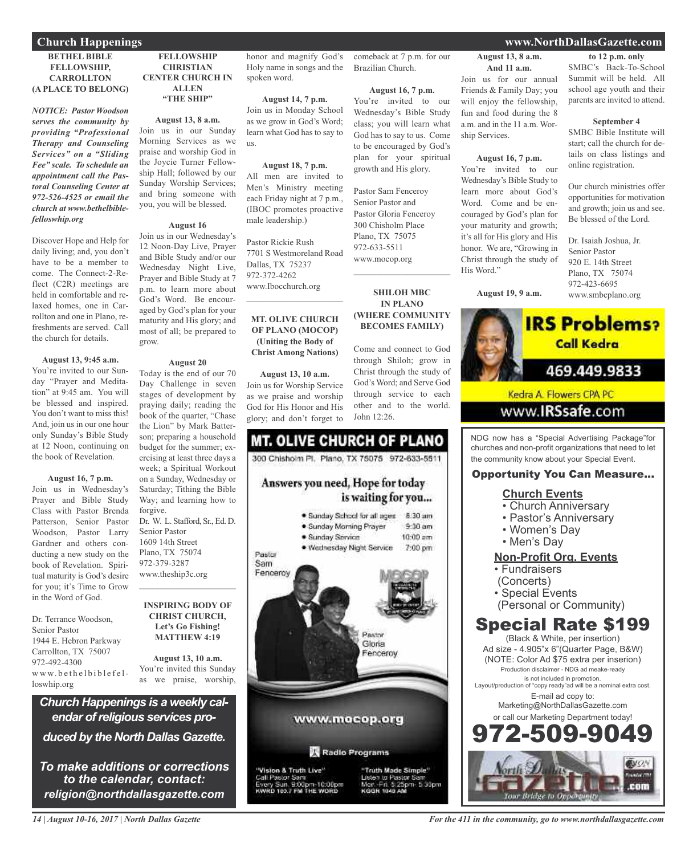#### **BETHEL BIBLE FELLOWSHIP, CARROLLTON (A PLACE TO BELONG) Church Happenings www.NorthDallasGazette.com**

*NOTICE: Pastor Woodson serves the community by providing "Professional Therapy and Counseling Services" on a "Sliding Fee" scale. To schedule an appointment call the Pastoral Counseling Center at 972-526-4525 or email the church at www.bethelbiblefelloswhip.org*

Discover Hope and Help for daily living; and, you don't have to be a member to come. The Connect-2-Reflect (C2R) meetings are held in comfortable and relaxed homes, one in Carrollton and one in Plano, refreshments are served. Call the church for details.

#### **August 13, 9:45 a.m.**

You're invited to our Sunday "Prayer and Meditation" at 9:45 am. You will be blessed and inspired. You don't want to miss this! And, join us in our one hour only Sunday's Bible Study at 12 Noon, continuing on the book of Revelation.

#### **August 16, 7 p.m.**

Join us in Wednesday's Prayer and Bible Study Class with Pastor Brenda Patterson, Senior Pastor Woodson, Pastor Larry Gardner and others conducting a new study on the book of Revelation. Spiritual maturity is God's desire for you; it's Time to Grow in the Word of God.

Dr. Terrance Woodson, Senior Pastor 1944 E. Hebron Parkway Carrollton, TX 75007 972-492-4300 www.bethelbiblefelloswhip.org

### **FELLOWSHIP CHRISTIAN CENTER CHURCH IN ALLEN "THE SHIP"**

### **August 13, 8 a.m.**

Join us in our Sunday Morning Services as we praise and worship God in the Joycie Turner Fellowship Hall; followed by our Sunday Worship Services; and bring someone with you, you will be blessed.

#### **August 16**

Join us in our Wednesday's 12 Noon-Day Live, Prayer and Bible Study and/or our Wednesday Night Live, Prayer and Bible Study at 7 p.m. to learn more about God's Word. Be encouraged by God's plan for your maturity and His glory; and most of all; be prepared to grow.

#### **August 20**

Today is the end of our 70 Day Challenge in seven stages of development by praying daily; reading the book of the quarter, "Chase the Lion" by Mark Batterson; preparing a household budget for the summer; exercising at least three days a week; a Spiritual Workout on a Sunday, Wednesday or Saturday; Tithing the Bible Way; and learning how to forgive. Dr. W. L. Stafford, Sr., Ed. D. Senior Pastor 1609 14th Street Plano, TX 75074 972-379-3287 www.theship3c.org

#### **INSPIRING BODY OF CHRIST CHURCH, Let's Go Fishing! MATTHEW 4:19**

 $\mathcal{L}_\text{max}$  and  $\mathcal{L}_\text{max}$  and  $\mathcal{L}_\text{max}$ 

**August 13, 10 a.m.** You're invited this Sunday as we praise, worship,

*Church Happenings is a weekly calendar ofreligious services produced by the North Dallas Gazette.*

*To make additions or corrections to the calendar, contact: religion@northdallasgazette.com*

honor and magnify God's Holy name in songs and the spoken word.

comeback at 7 p.m. for our

**August 16, 7 p.m.** You're invited to our Wednesday's Bible Study class; you will learn what God has to say to us. Come to be encouraged by God's plan for your spiritual growth and His glory.

Pastor Sam Fenceroy Senior Pastor and Pastor Gloria Fenceroy 300 Chisholm Place Plano, TX 75075 972-633-5511 www.mocop.org

 $\overline{\phantom{a}}$  , and the set of the set of the set of the set of the set of the set of the set of the set of the set of the set of the set of the set of the set of the set of the set of the set of the set of the set of the s

**SHILOH MBC IN PLANO (WHERE COMMUNITY BECOMES FAMILY)**

Come and connect to God through Shiloh; grow in Christ through the study of God's Word; and Serve God through service to each other and to the world.

Brazilian Church.

**August 14, 7 p.m.** Join us in Monday School as we grow in God's Word; learn what God has to say to us.

#### **August 18, 7 p.m.**

All men are invited to Men's Ministry meeting each Friday night at 7 p.m., (IBOC promotes proactive male leadership.)

Pastor Rickie Rush 7701 S Westmoreland Road Dallas, TX 75237 972-372-4262 www.Ibocchurch.org

#### **MT. OLIVE CHURCH OF PLANO (MOCOP) (Uniting the Body of Christ Among Nations)**

 $\mathcal{L}=\mathcal{L}^{\mathcal{L}}$  , where  $\mathcal{L}^{\mathcal{L}}$  , we have the set of the set of the set of the set of the set of the set of the set of the set of the set of the set of the set of the set of the set of the set of the set of

**August 13, 10 a.m.**

Join us for Worship Service as we praise and worship God for His Honor and His glory; and don't forget to

### **MT. OLIVE CHURCH OF PLANO** 300 Chishoim Pl. Plano, TX 75075 972-633-5511 Answers you need, Hope for today is waiting for you... · Sunday School for all ages 8:30 am · Sunday Morning Prayer  $9-30$  am  $10:00$  am

John 12:26.

7:00 pm



'Vision & Truth Live" Call Pastor Sam<br>Every Sun, 9:00pm-10:00pm<br>KWRD 103.7 FM THE WORD

"Truth Made Simple" to Pastor S<br>in: 5:25pm 5:30pm KODNE 1040 AB

**August 13, 8 a.m. And 11 a.m.** Join us for our annual Friends & Family Day; you will enjoy the fellowship, fun and food during the 8 a.m. and in the 11 a.m. Worship Services.

#### **August 16, 7 p.m.**

You're invited to our Wednesday's Bible Study to learn more about God's Word. Come and be encouraged by God's plan for your maturity and growth; it's all for His glory and His honor. We are, "Growing in Christ through the study of His Word."

**to 12 p.m. only** SMBC's Back-To-School Summit will be held. All school age youth and their parents are invited to attend.

#### **September 4**

SMBC Bible Institute will start; call the church for details on class listings and online registration.

Our church ministries offer opportunities for motivation and growth; join us and see. Be blessed of the Lord.

Dr. Isaiah Joshua, Jr. Senior Pastor 920 E. 14th Street Plano, TX 75074 972-423-6695 www.smbcplano.org



NDG now has a "Special Advertising Package"for churches and non-profit organizations that need to let the community know about your Special Event.

#### Opportunity You Can Measure...

#### **Church Events**

- Church Anniversary
- Pastor's Anniversary
- Women's Day
- Men's Day

### **Non-Profit Org. Events**

- Fundraisers
- (Concerts)
- Special Events
- (Personal or Community)

### Special Rate \$199

(Black & White, per insertion) Ad size - 4.905"x 6"(Quarter Page, B&W) (NOTE: Color Ad \$75 extra per inserion) Production disclaimer - NDG ad meake-ready is not included in promotion. Layout/production of "copy ready"ad will be a nominal extra cost. E-mail ad copy to: Marketing@NorthDallasGazette.com or call our Marketing Department today! 972-509-9049



**August 19, 9 a.m.**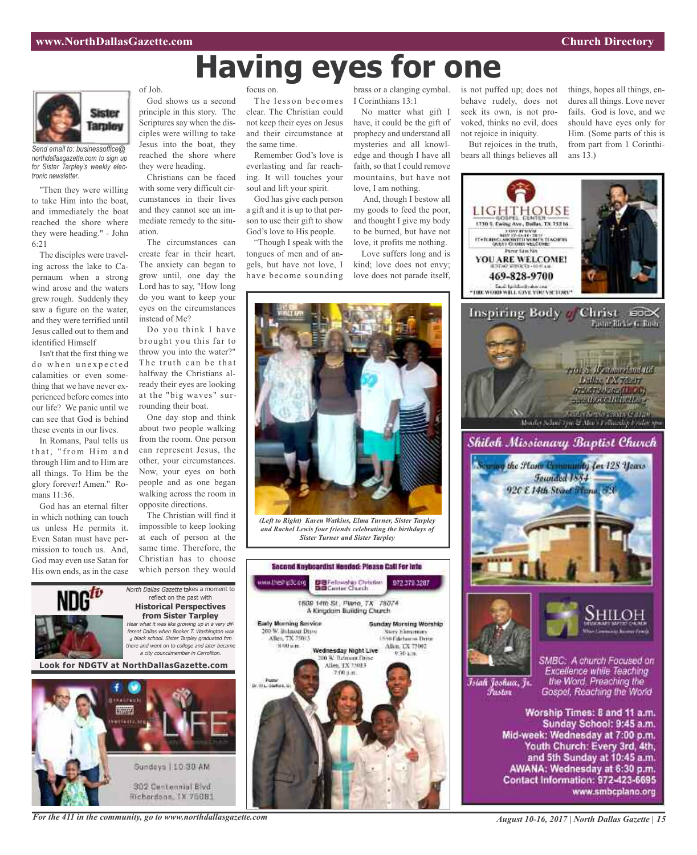# **Having eyes for one**

*(Left to Right) Karen Watkins, Elma Turner, Sister Tarpley and Rachel Lewis four friends celebrating the birthdays of Sister Turner and Sister Tarpley*

Second Nnyboardist Needed: Please Call For Into

DUFelowship Outstan

1609 14th St., Plano, TX 75074 A Kinodam Building Church

Wednesday Night Live

Allen, TX 75013

200 W. Telmore.Dry

972 379 3287

**Sunday Murning Worship** Sary Elementary<br>1550 Edebarus Duve

Alia, TX 73002

30-3.18

DISCO ISSUANCE

Early Morning Bervice

200 W. Balmout Drive Allen, TX 25013

2000 a.m.

Page<br>Dr. Wu, Tarton, G



*Send email to: businessoffice@ northdallasgazette.com to sign up for Sister Tarpley's weekly electronic newsletter.*

"Then they were willing to take Him into the boat, and immediately the boat reached the shore where they were heading." - John 6:21

The disciples were traveling across the lake to Capernaum when a strong wind arose and the waters grew rough. Suddenly they saw a figure on the water, and they were terrified until Jesus called out to them and identified Himself

Isn't that the first thing we do when unexpected calamities or even something that we have never experienced before comes into our life? We panic until we can see that God is behind these events in our lives.

In Romans, Paul tells us that, "from Him and through Him and to Him are all things. To Him be the glory forever! Amen." Romans 11:36.

God has an eternal filter in which nothing can touch us unless He permits it. Even Satan must have permission to touch us. And, God may even use Satan for His own ends, as in the case of Job.

God shows us a second principle in this story. The Scriptures say when the disciples were willing to take Jesus into the boat, they reached the shore where they were heading.

Christians can be faced with some very difficult circumstances in their lives and they cannot see an immediate remedy to the situation.

The circumstances can create fear in their heart. The anxiety can began to grow until, one day the Lord has to say, "How long do you want to keep your eyes on the circumstances instead of Me?

Do you think I have brought you this far to throw you into the water?" The truth can be that halfway the Christians already their eyes are looking at the "big waves" surrounding their boat.

One day stop and think about two people walking from the room. One person can represent Jesus, the other, your circumstances. Now, your eyes on both people and as one began walking across the room in opposite directions.

The Christian will find it impossible to keep looking at each of person at the same time. Therefore, the Christian has to choose which person they would



302 Centennial Blvd Hichardson, IX 75081 focus on.

The lesson becomes clear. The Christian could not keep their eyes on Jesus and their circumstance at the same time.

Remember God's love is everlasting and far reaching. It will touches your soul and lift your spirit.

God has give each person a gift and it is up to that person to use their gift to show God's love to His people.

"Though I speak with the tongues of men and of angels, but have not love, I have become sounding

brass or a clanging cymbal. I Corinthians 13:1

No matter what gift I have, it could be the gift of prophecy and understand all mysteries and all knowledge and though I have all faith, so that I could remove mountains, but have not love, I am nothing.

And, though I bestow all my goods to feed the poor, and thought I give my body to be burned, but have not love, it profits me nothing.

Love suffers long and is kind; love does not envy; love does not parade itself,



bears all things believes all

things, hopes all things, endures all things. Love never fails. God is love, and we should have eyes only for Him. (Some parts of this is from part from 1 Corinthians 13.)



*For the 411 in the community, go to www.northdallasgazette.com*